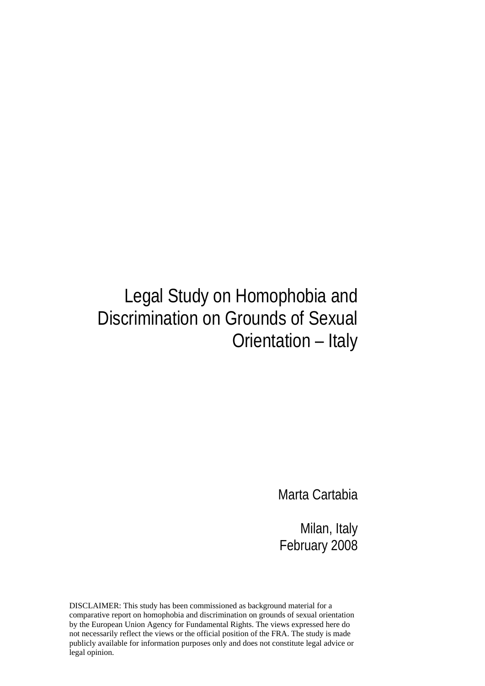# Legal Study on Homophobia and Discrimination on Grounds of Sexual Orientation – Italy

Marta Cartabia

Milan, Italy February 2008

DISCLAIMER: This study has been commissioned as background material for a comparative report on homophobia and discrimination on grounds of sexual orientation by the European Union Agency for Fundamental Rights. The views expressed here do not necessarily reflect the views or the official position of the FRA. The study is made publicly available for information purposes only and does not constitute legal advice or legal opinion.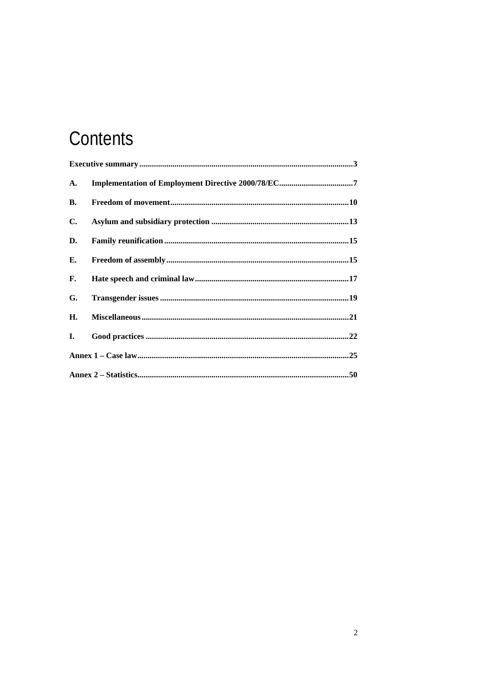# Contents

| A.             |  |
|----------------|--|
| <b>B.</b>      |  |
| $\mathbf{C}$ . |  |
| D.             |  |
| Е.             |  |
| F.             |  |
| G.             |  |
| Н.             |  |
| I.             |  |
|                |  |
|                |  |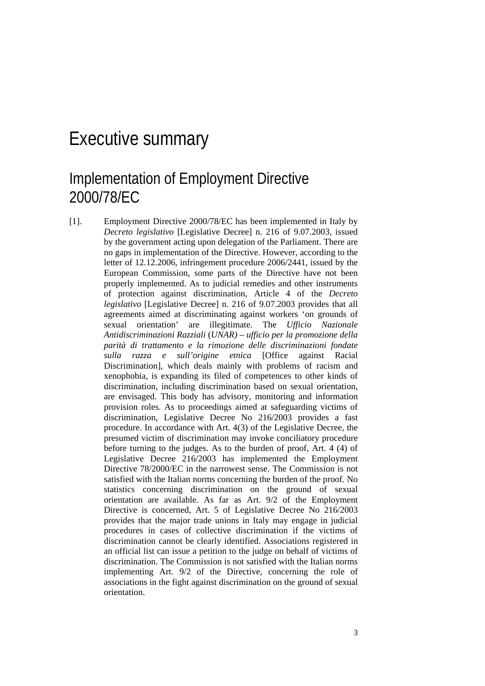### Executive summary

### Implementation of Employment Directive 2000/78/EC

[1]. Employment Directive 2000/78/EC has been implemented in Italy by *Decreto legislativo* [Legislative Decree] n. 216 of 9.07.2003, issued by the government acting upon delegation of the Parliament. There are no gaps in implementation of the Directive. However, according to the letter of 12.12.2006, infringement procedure 2006/2441, issued by the European Commission, some parts of the Directive have not been properly implemented. As to judicial remedies and other instruments of protection against discrimination, Article 4 of the *Decreto legislativo* [Legislative Decree] n. 216 of 9.07.2003 provides that all agreements aimed at discriminating against workers 'on grounds of sexual orientation' are illegitimate. The *Ufficio Nazionale Antidiscriminazioni Razziali* (*UNAR)* – *ufficio per la promozione della parità di trattamento e la rimozione delle discriminazioni fondate sulla razza e sull'origine etnica* [Office against Racial Discrimination], which deals mainly with problems of racism and xenophobia, is expanding its filed of competences to other kinds of discrimination, including discrimination based on sexual orientation, are envisaged. This body has advisory, monitoring and information provision roles. As to proceedings aimed at safeguarding victims of discrimination, Legislative Decree No 216/2003 provides a fast procedure. In accordance with Art. 4(3) of the Legislative Decree, the presumed victim of discrimination may invoke conciliatory procedure before turning to the judges. As to the burden of proof, Art. 4 (4) of Legislative Decree 216/2003 has implemented the Employment Directive 78/2000/EC in the narrowest sense. The Commission is not satisfied with the Italian norms concerning the burden of the proof. No statistics concerning discrimination on the ground of sexual orientation are available. As far as Art. 9/2 of the Employment Directive is concerned, Art. 5 of Legislative Decree No 216/2003 provides that the major trade unions in Italy may engage in judicial procedures in cases of collective discrimination if the victims of discrimination cannot be clearly identified. Associations registered in an official list can issue a petition to the judge on behalf of victims of discrimination. The Commission is not satisfied with the Italian norms implementing Art. 9/2 of the Directive, concerning the role of associations in the fight against discrimination on the ground of sexual orientation.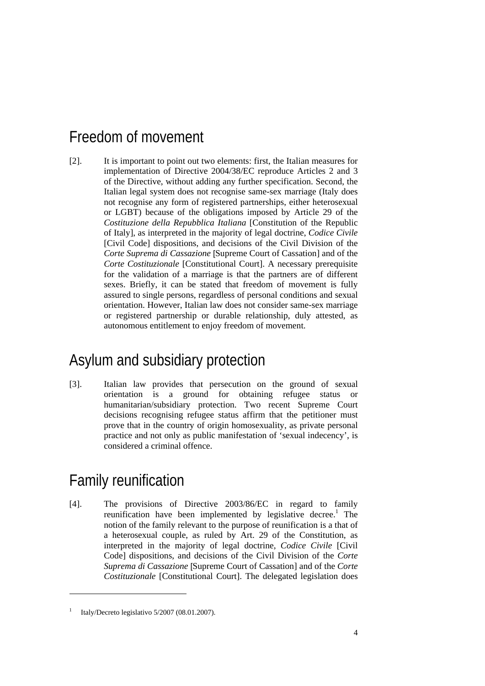### Freedom of movement

[2]. It is important to point out two elements: first, the Italian measures for implementation of Directive 2004/38/EC reproduce Articles 2 and 3 of the Directive, without adding any further specification. Second, the Italian legal system does not recognise same-sex marriage (Italy does not recognise any form of registered partnerships, either heterosexual or LGBT) because of the obligations imposed by Article 29 of the *Costituzione della Repubblica Italiana* [Constitution of the Republic of Italy], as interpreted in the majority of legal doctrine, *Codice Civile* [Civil Code] dispositions, and decisions of the Civil Division of the *Corte Suprema di Cassazione* [Supreme Court of Cassation] and of the *Corte Costituzionale* [Constitutional Court]. A necessary prerequisite for the validation of a marriage is that the partners are of different sexes. Briefly, it can be stated that freedom of movement is fully assured to single persons, regardless of personal conditions and sexual orientation. However, Italian law does not consider same-sex marriage or registered partnership or durable relationship, duly attested, as autonomous entitlement to enjoy freedom of movement.

### Asylum and subsidiary protection

[3]. Italian law provides that persecution on the ground of sexual orientation is a ground for obtaining refugee status or humanitarian/subsidiary protection. Two recent Supreme Court decisions recognising refugee status affirm that the petitioner must prove that in the country of origin homosexuality, as private personal practice and not only as public manifestation of 'sexual indecency', is considered a criminal offence.

## Family reunification

[4]. The provisions of Directive 2003/86/EC in regard to family reunification have been implemented by legislative decree.<sup>1</sup> The notion of the family relevant to the purpose of reunification is a that of a heterosexual couple, as ruled by Art. 29 of the Constitution, as interpreted in the majority of legal doctrine, *Codice Civile* [Civil Code] dispositions, and decisions of the Civil Division of the *Corte Suprema di Cassazione* [Supreme Court of Cassation] and of the *Corte Costituzionale* [Constitutional Court]. The delegated legislation does

<sup>1</sup> Italy/Decreto legislativo 5/2007 (08.01.2007).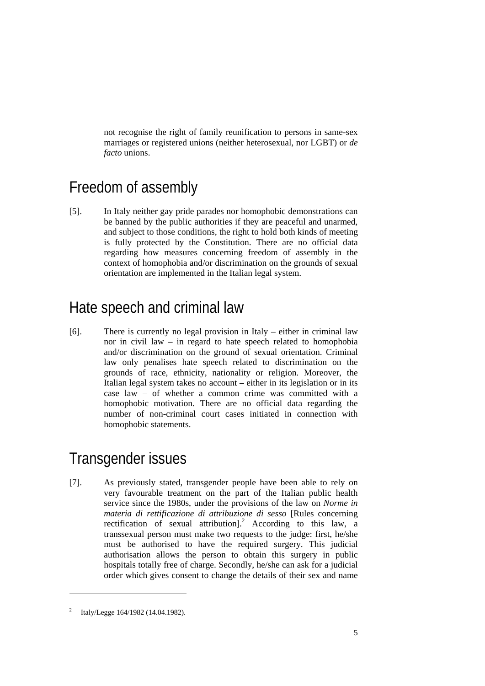not recognise the right of family reunification to persons in same-sex marriages or registered unions (neither heterosexual, nor LGBT) or *de facto* unions.

### Freedom of assembly

[5]. In Italy neither gay pride parades nor homophobic demonstrations can be banned by the public authorities if they are peaceful and unarmed, and subject to those conditions, the right to hold both kinds of meeting is fully protected by the Constitution. There are no official data regarding how measures concerning freedom of assembly in the context of homophobia and/or discrimination on the grounds of sexual orientation are implemented in the Italian legal system.

### Hate speech and criminal law

[6]. There is currently no legal provision in Italy – either in criminal law nor in civil law – in regard to hate speech related to homophobia and/or discrimination on the ground of sexual orientation. Criminal law only penalises hate speech related to discrimination on the grounds of race, ethnicity, nationality or religion. Moreover, the Italian legal system takes no account – either in its legislation or in its case law – of whether a common crime was committed with a homophobic motivation. There are no official data regarding the number of non-criminal court cases initiated in connection with homophobic statements.

## Transgender issues

[7]. As previously stated, transgender people have been able to rely on very favourable treatment on the part of the Italian public health service since the 1980s, under the provisions of the law on *Norme in materia di rettificazione di attribuzione di sesso* [Rules concerning rectification of sexual attribution].<sup>2</sup> According to this law, a transsexual person must make two requests to the judge: first, he/she must be authorised to have the required surgery. This judicial authorisation allows the person to obtain this surgery in public hospitals totally free of charge. Secondly, he/she can ask for a judicial order which gives consent to change the details of their sex and name

<sup>2</sup> Italy/Legge 164/1982 (14.04.1982).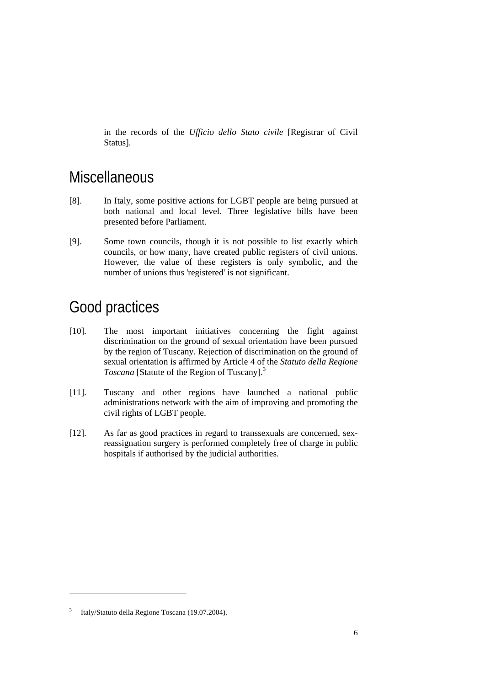in the records of the *Ufficio dello Stato civile* [Registrar of Civil Status].

### **Miscellaneous**

- [8]. In Italy, some positive actions for LGBT people are being pursued at both national and local level. Three legislative bills have been presented before Parliament.
- [9]. Some town councils, though it is not possible to list exactly which councils, or how many, have created public registers of civil unions. However, the value of these registers is only symbolic, and the number of unions thus 'registered' is not significant.

### Good practices

- [10]. The most important initiatives concerning the fight against discrimination on the ground of sexual orientation have been pursued by the region of Tuscany. Rejection of discrimination on the ground of sexual orientation is affirmed by Article 4 of the *Statuto della Regione Toscana* [Statute of the Region of Tuscany].<sup>3</sup>
- [11]. Tuscany and other regions have launched a national public administrations network with the aim of improving and promoting the civil rights of LGBT people.
- [12]. As far as good practices in regard to transsexuals are concerned, sexreassignation surgery is performed completely free of charge in public hospitals if authorised by the judicial authorities.

<sup>3</sup> Italy/Statuto della Regione Toscana (19.07.2004).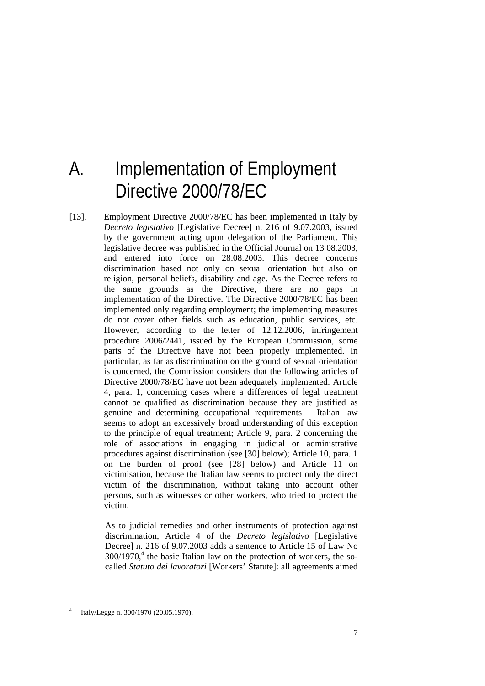# A. Implementation of Employment Directive 2000/78/EC

[13]. Employment Directive 2000/78/EC has been implemented in Italy by *Decreto legislativo* [Legislative Decree] n. 216 of 9.07.2003, issued by the government acting upon delegation of the Parliament. This legislative decree was published in the Official Journal on 13 08.2003, and entered into force on 28.08.2003. This decree concerns discrimination based not only on sexual orientation but also on religion, personal beliefs, disability and age. As the Decree refers to the same grounds as the Directive, there are no gaps in implementation of the Directive. The Directive 2000/78/EC has been implemented only regarding employment; the implementing measures do not cover other fields such as education, public services, etc. However, according to the letter of 12.12.2006, infringement procedure 2006/2441, issued by the European Commission, some parts of the Directive have not been properly implemented. In particular, as far as discrimination on the ground of sexual orientation is concerned, the Commission considers that the following articles of Directive 2000/78/EC have not been adequately implemented: Article 4, para. 1, concerning cases where a differences of legal treatment cannot be qualified as discrimination because they are justified as genuine and determining occupational requirements – Italian law seems to adopt an excessively broad understanding of this exception to the principle of equal treatment; Article 9, para. 2 concerning the role of associations in engaging in judicial or administrative procedures against discrimination (see [30] below); Article 10, para. 1 on the burden of proof (see [28] below) and Article 11 on victimisation, because the Italian law seems to protect only the direct victim of the discrimination, without taking into account other persons, such as witnesses or other workers, who tried to protect the victim.

> As to judicial remedies and other instruments of protection against discrimination, Article 4 of the *Decreto legislativo* [Legislative Decree] n. 216 of 9.07.2003 adds a sentence to Article 15 of Law No  $300/1970$ <sup>4</sup>, the basic Italian law on the protection of workers, the socalled *Statuto dei lavoratori* [Workers' Statute]: all agreements aimed

<sup>4</sup> Italy/Legge n. 300/1970 (20.05.1970).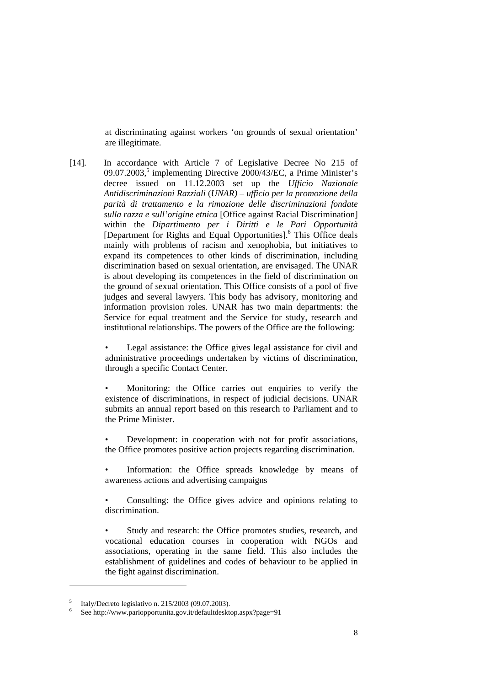at discriminating against workers 'on grounds of sexual orientation' are illegitimate.

[14]. In accordance with Article 7 of Legislative Decree No 215 of 09.07.2003,<sup>5</sup> implementing Directive 2000/43/EC, a Prime Minister's decree issued on 11.12.2003 set up the *Ufficio Nazionale Antidiscriminazioni Razziali* (*UNAR)* – *ufficio per la promozione della parità di trattamento e la rimozione delle discriminazioni fondate sulla razza e sull'origine etnica* [Office against Racial Discrimination] within the *Dipartimento per i Diritti e le Pari Opportunità* [Department for Rights and Equal Opportunities].<sup>6</sup> This Office deals mainly with problems of racism and xenophobia, but initiatives to expand its competences to other kinds of discrimination, including discrimination based on sexual orientation, are envisaged. The UNAR is about developing its competences in the field of discrimination on the ground of sexual orientation. This Office consists of a pool of five judges and several lawyers. This body has advisory, monitoring and information provision roles. UNAR has two main departments: the Service for equal treatment and the Service for study, research and institutional relationships. The powers of the Office are the following:

> Legal assistance: the Office gives legal assistance for civil and administrative proceedings undertaken by victims of discrimination, through a specific Contact Center.

> Monitoring: the Office carries out enquiries to verify the existence of discriminations, in respect of judicial decisions. UNAR submits an annual report based on this research to Parliament and to the Prime Minister.

> • Development: in cooperation with not for profit associations, the Office promotes positive action projects regarding discrimination.

> Information: the Office spreads knowledge by means of awareness actions and advertising campaigns

> • Consulting: the Office gives advice and opinions relating to discrimination.

> Study and research: the Office promotes studies, research, and vocational education courses in cooperation with NGOs and associations, operating in the same field. This also includes the establishment of guidelines and codes of behaviour to be applied in the fight against discrimination.

<sup>5</sup> Italy/Decreto legislativo n. 215/2003 (09.07.2003).

<sup>6</sup> See http://www.pariopportunita.gov.it/defaultdesktop.aspx?page=91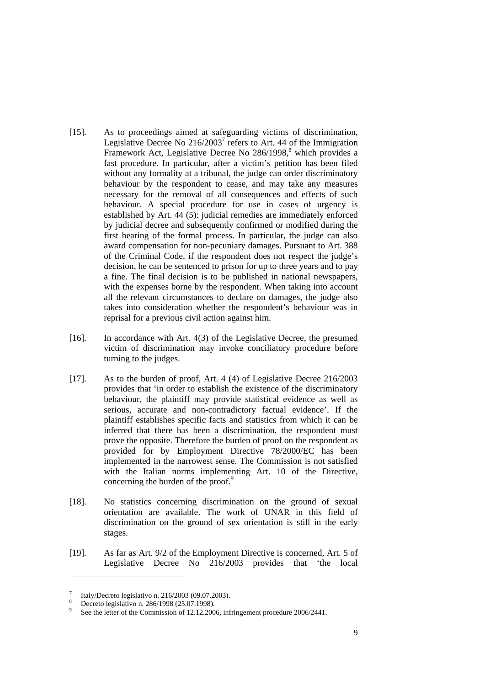- [15]. As to proceedings aimed at safeguarding victims of discrimination, Legislative Decree No  $216/2003^7$  refers to Art. 44 of the Immigration Framework Act, Legislative Decree No 286/1998,<sup>8</sup> which provides a fast procedure. In particular, after a victim's petition has been filed without any formality at a tribunal, the judge can order discriminatory behaviour by the respondent to cease, and may take any measures necessary for the removal of all consequences and effects of such behaviour. A special procedure for use in cases of urgency is established by Art. 44 (5): judicial remedies are immediately enforced by judicial decree and subsequently confirmed or modified during the first hearing of the formal process. In particular, the judge can also award compensation for non-pecuniary damages. Pursuant to Art. 388 of the Criminal Code, if the respondent does not respect the judge's decision, he can be sentenced to prison for up to three years and to pay a fine. The final decision is to be published in national newspapers, with the expenses borne by the respondent. When taking into account all the relevant circumstances to declare on damages, the judge also takes into consideration whether the respondent's behaviour was in reprisal for a previous civil action against him.
- [16]. In accordance with Art. 4(3) of the Legislative Decree, the presumed victim of discrimination may invoke conciliatory procedure before turning to the judges.
- [17]. As to the burden of proof, Art. 4 (4) of Legislative Decree 216/2003 provides that 'in order to establish the existence of the discriminatory behaviour, the plaintiff may provide statistical evidence as well as serious, accurate and non-contradictory factual evidence'. If the plaintiff establishes specific facts and statistics from which it can be inferred that there has been a discrimination, the respondent must prove the opposite. Therefore the burden of proof on the respondent as provided for by Employment Directive 78/2000/EC has been implemented in the narrowest sense. The Commission is not satisfied with the Italian norms implementing Art. 10 of the Directive, concerning the burden of the proof.<sup>9</sup>
- [18]. No statistics concerning discrimination on the ground of sexual orientation are available. The work of UNAR in this field of discrimination on the ground of sex orientation is still in the early stages.
- [19]. As far as Art. 9/2 of the Employment Directive is concerned, Art. 5 of Legislative Decree No 216/2003 provides that 'the local

<sup>7</sup> Italy/Decreto legislativo n. 216/2003 (09.07.2003).

<sup>8</sup> Decreto legislativo n. 286/1998 (25.07.1998).

<sup>9</sup> See the letter of the Commission of 12.12.2006, infringement procedure 2006/2441.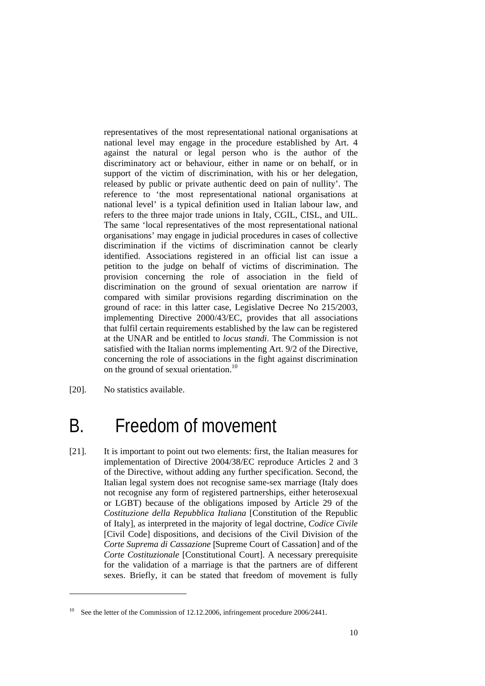representatives of the most representational national organisations at national level may engage in the procedure established by Art. 4 against the natural or legal person who is the author of the discriminatory act or behaviour, either in name or on behalf, or in support of the victim of discrimination, with his or her delegation, released by public or private authentic deed on pain of nullity'. The reference to 'the most representational national organisations at national level' is a typical definition used in Italian labour law, and refers to the three major trade unions in Italy, CGIL, CISL, and UIL. The same 'local representatives of the most representational national organisations' may engage in judicial procedures in cases of collective discrimination if the victims of discrimination cannot be clearly identified. Associations registered in an official list can issue a petition to the judge on behalf of victims of discrimination. The provision concerning the role of association in the field of discrimination on the ground of sexual orientation are narrow if compared with similar provisions regarding discrimination on the ground of race: in this latter case, Legislative Decree No 215/2003, implementing Directive 2000/43/EC, provides that all associations that fulfil certain requirements established by the law can be registered at the UNAR and be entitled to *locus standi*. The Commission is not satisfied with the Italian norms implementing Art. 9/2 of the Directive, concerning the role of associations in the fight against discrimination on the ground of sexual orientation.<sup>10</sup>

[20]. No statistics available.

1

## B. Freedom of movement

[21]. It is important to point out two elements: first, the Italian measures for implementation of Directive 2004/38/EC reproduce Articles 2 and 3 of the Directive, without adding any further specification. Second, the Italian legal system does not recognise same-sex marriage (Italy does not recognise any form of registered partnerships, either heterosexual or LGBT) because of the obligations imposed by Article 29 of the *Costituzione della Repubblica Italiana* [Constitution of the Republic of Italy], as interpreted in the majority of legal doctrine, *Codice Civile* [Civil Code] dispositions, and decisions of the Civil Division of the *Corte Suprema di Cassazione* [Supreme Court of Cassation] and of the *Corte Costituzionale* [Constitutional Court]. A necessary prerequisite for the validation of a marriage is that the partners are of different sexes. Briefly, it can be stated that freedom of movement is fully

<sup>&</sup>lt;sup>10</sup> See the letter of the Commission of 12.12.2006, infringement procedure 2006/2441.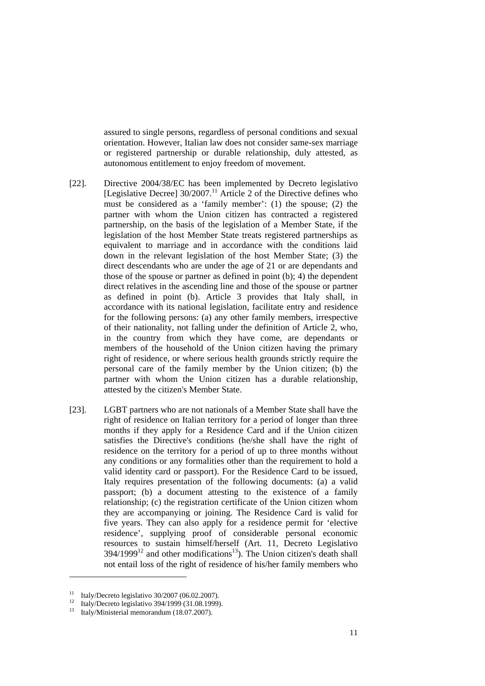assured to single persons, regardless of personal conditions and sexual orientation. However, Italian law does not consider same-sex marriage or registered partnership or durable relationship, duly attested, as autonomous entitlement to enjoy freedom of movement.

- [22]. Directive 2004/38/EC has been implemented by Decreto legislativo [Legislative Decree]  $30/2007$ .<sup>11</sup> Article 2 of the Directive defines who must be considered as a 'family member': (1) the spouse; (2) the partner with whom the Union citizen has contracted a registered partnership, on the basis of the legislation of a Member State, if the legislation of the host Member State treats registered partnerships as equivalent to marriage and in accordance with the conditions laid down in the relevant legislation of the host Member State; (3) the direct descendants who are under the age of 21 or are dependants and those of the spouse or partner as defined in point (b); 4) the dependent direct relatives in the ascending line and those of the spouse or partner as defined in point (b). Article 3 provides that Italy shall, in accordance with its national legislation, facilitate entry and residence for the following persons: (a) any other family members, irrespective of their nationality, not falling under the definition of Article 2, who, in the country from which they have come, are dependants or members of the household of the Union citizen having the primary right of residence, or where serious health grounds strictly require the personal care of the family member by the Union citizen; (b) the partner with whom the Union citizen has a durable relationship, attested by the citizen's Member State.
- [23]. LGBT partners who are not nationals of a Member State shall have the right of residence on Italian territory for a period of longer than three months if they apply for a Residence Card and if the Union citizen satisfies the Directive's conditions (he/she shall have the right of residence on the territory for a period of up to three months without any conditions or any formalities other than the requirement to hold a valid identity card or passport). For the Residence Card to be issued, Italy requires presentation of the following documents: (a) a valid passport; (b) a document attesting to the existence of a family relationship; (c) the registration certificate of the Union citizen whom they are accompanying or joining. The Residence Card is valid for five years. They can also apply for a residence permit for 'elective residence', supplying proof of considerable personal economic resources to sustain himself/herself (Art. 11, Decreto Legislativo  $394/1999<sup>12</sup>$  and other modifications<sup>13</sup>). The Union citizen's death shall not entail loss of the right of residence of his/her family members who

<sup>11</sup> Italy/Decreto legislativo 30/2007 (06.02.2007).

<sup>12</sup> Italy/Decreto legislativo 394/1999 (31.08.1999).

<sup>13</sup> Italy/Ministerial memorandum (18.07.2007).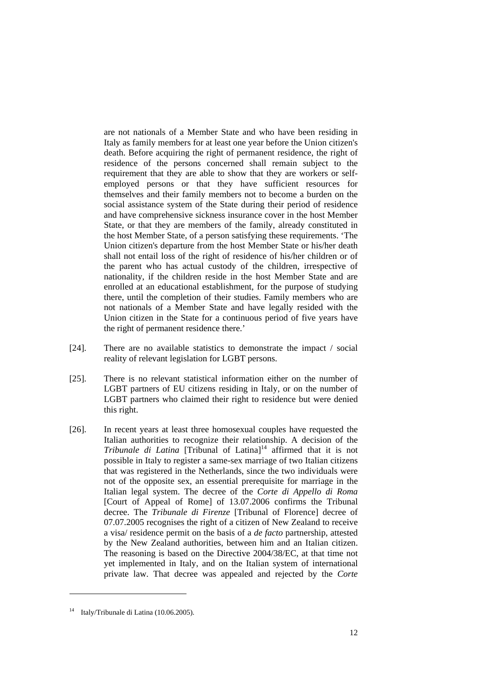are not nationals of a Member State and who have been residing in Italy as family members for at least one year before the Union citizen's death. Before acquiring the right of permanent residence, the right of residence of the persons concerned shall remain subject to the requirement that they are able to show that they are workers or selfemployed persons or that they have sufficient resources for themselves and their family members not to become a burden on the social assistance system of the State during their period of residence and have comprehensive sickness insurance cover in the host Member State, or that they are members of the family, already constituted in the host Member State, of a person satisfying these requirements. 'The Union citizen's departure from the host Member State or his/her death shall not entail loss of the right of residence of his/her children or of the parent who has actual custody of the children, irrespective of nationality, if the children reside in the host Member State and are enrolled at an educational establishment, for the purpose of studying there, until the completion of their studies. Family members who are not nationals of a Member State and have legally resided with the Union citizen in the State for a continuous period of five years have the right of permanent residence there.'

- [24]. There are no available statistics to demonstrate the impact / social reality of relevant legislation for LGBT persons.
- [25]. There is no relevant statistical information either on the number of LGBT partners of EU citizens residing in Italy, or on the number of LGBT partners who claimed their right to residence but were denied this right.
- [26]. In recent years at least three homosexual couples have requested the Italian authorities to recognize their relationship. A decision of the *Tribunale di Latina* [Tribunal of Latina]<sup>14</sup> affirmed that it is not possible in Italy to register a same-sex marriage of two Italian citizens that was registered in the Netherlands, since the two individuals were not of the opposite sex, an essential prerequisite for marriage in the Italian legal system. The decree of the *Corte di Appello di Roma*  [Court of Appeal of Rome] of 13.07.2006 confirms the Tribunal decree. The *Tribunale di Firenze* [Tribunal of Florence] decree of 07.07.2005 recognises the right of a citizen of New Zealand to receive a visa/ residence permit on the basis of a *de facto* partnership, attested by the New Zealand authorities, between him and an Italian citizen. The reasoning is based on the Directive 2004/38/EC, at that time not yet implemented in Italy, and on the Italian system of international private law. That decree was appealed and rejected by the *Corte*

<sup>14</sup> Italy/Tribunale di Latina (10.06.2005).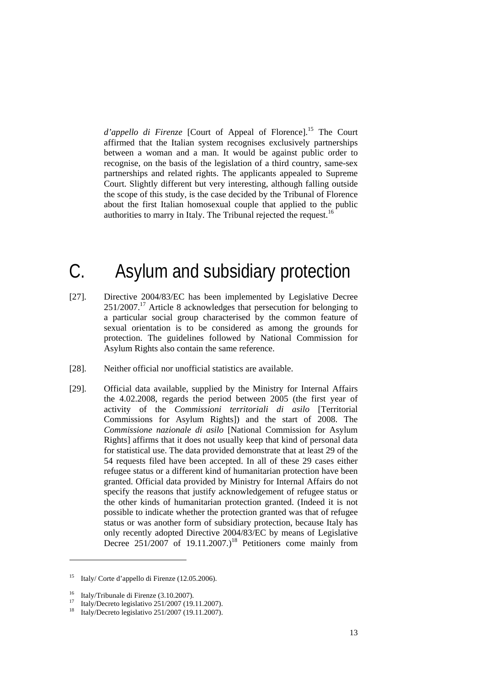*d'appello di Firenze* [Court of Appeal of Florence].<sup>15</sup> The Court affirmed that the Italian system recognises exclusively partnerships between a woman and a man. It would be against public order to recognise, on the basis of the legislation of a third country, same-sex partnerships and related rights. The applicants appealed to Supreme Court. Slightly different but very interesting, although falling outside the scope of this study, is the case decided by the Tribunal of Florence about the first Italian homosexual couple that applied to the public authorities to marry in Italy. The Tribunal rejected the request.<sup>16</sup>

## C. Asylum and subsidiary protection

- [27]. Directive 2004/83/EC has been implemented by Legislative Decree 251/2007.17 Article 8 acknowledges that persecution for belonging to a particular social group characterised by the common feature of sexual orientation is to be considered as among the grounds for protection. The guidelines followed by National Commission for Asylum Rights also contain the same reference.
- [28]. Neither official nor unofficial statistics are available.
- [29]. Official data available, supplied by the Ministry for Internal Affairs the 4.02.2008, regards the period between 2005 (the first year of activity of the *Commissioni territoriali di asilo* [Territorial Commissions for Asylum Rights]) and the start of 2008. The *Commissione nazionale di asilo* [National Commission for Asylum Rights] affirms that it does not usually keep that kind of personal data for statistical use. The data provided demonstrate that at least 29 of the 54 requests filed have been accepted. In all of these 29 cases either refugee status or a different kind of humanitarian protection have been granted. Official data provided by Ministry for Internal Affairs do not specify the reasons that justify acknowledgement of refugee status or the other kinds of humanitarian protection granted. (Indeed it is not possible to indicate whether the protection granted was that of refugee status or was another form of subsidiary protection, because Italy has only recently adopted Directive 2004/83/EC by means of Legislative Decree  $251/2007$  of  $19.11.2007$ .)<sup>18</sup> Petitioners come mainly from

-

<sup>15</sup> Italy/ Corte d'appello di Firenze (12.05.2006).

<sup>&</sup>lt;sup>16</sup> Italy/Tribunale di Firenze (3.10.2007).

<sup>17</sup> Italy/Decreto legislativo 251/2007 (19.11.2007).

<sup>18</sup> Italy/Decreto legislativo 251/2007 (19.11.2007).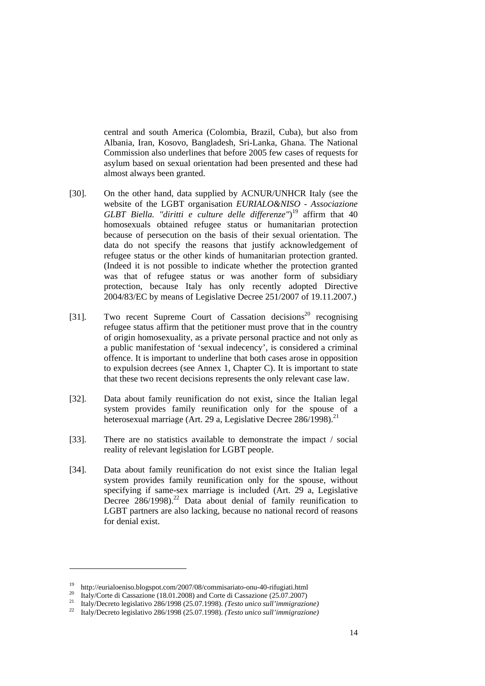central and south America (Colombia, Brazil, Cuba), but also from Albania, Iran, Kosovo, Bangladesh, Sri-Lanka, Ghana. The National Commission also underlines that before 2005 few cases of requests for asylum based on sexual orientation had been presented and these had almost always been granted.

- [30]. On the other hand, data supplied by ACNUR/UNHCR Italy (see the website of the LGBT organisation *EURIALO&NISO - Associazione GLBT Biella. "diritti e culture delle differenze"*) 19 affirm that 40 homosexuals obtained refugee status or humanitarian protection because of persecution on the basis of their sexual orientation. The data do not specify the reasons that justify acknowledgement of refugee status or the other kinds of humanitarian protection granted. (Indeed it is not possible to indicate whether the protection granted was that of refugee status or was another form of subsidiary protection, because Italy has only recently adopted Directive 2004/83/EC by means of Legislative Decree 251/2007 of 19.11.2007.)
- [31]. Two recent Supreme Court of Cassation decisions<sup>20</sup> recognising refugee status affirm that the petitioner must prove that in the country of origin homosexuality, as a private personal practice and not only as a public manifestation of 'sexual indecency', is considered a criminal offence. It is important to underline that both cases arose in opposition to expulsion decrees (see Annex 1, Chapter C). It is important to state that these two recent decisions represents the only relevant case law.
- [32]. Data about family reunification do not exist, since the Italian legal system provides family reunification only for the spouse of a heterosexual marriage (Art. 29 a, Legislative Decree 286/1998).<sup>21</sup>
- [33]. There are no statistics available to demonstrate the impact / social reality of relevant legislation for LGBT people.
- [34]. Data about family reunification do not exist since the Italian legal system provides family reunification only for the spouse, without specifying if same-sex marriage is included (Art. 29 a, Legislative Decree  $286/1998$ <sup>22</sup> Data about denial of family reunification to LGBT partners are also lacking, because no national record of reasons for denial exist.

<sup>&</sup>lt;sup>19</sup> http://eurialoeniso.blogspot.com/2007/08/commisariato-onu-40-rifugiati.html<br><sup>20</sup> Italy/Corte di Cassazione (18.01.2008) and Corte di Cassazione (25.07.2007)<br><sup>21</sup> Italy/Decreto legislativo 286/1998 (25.07.1998). (*Tes*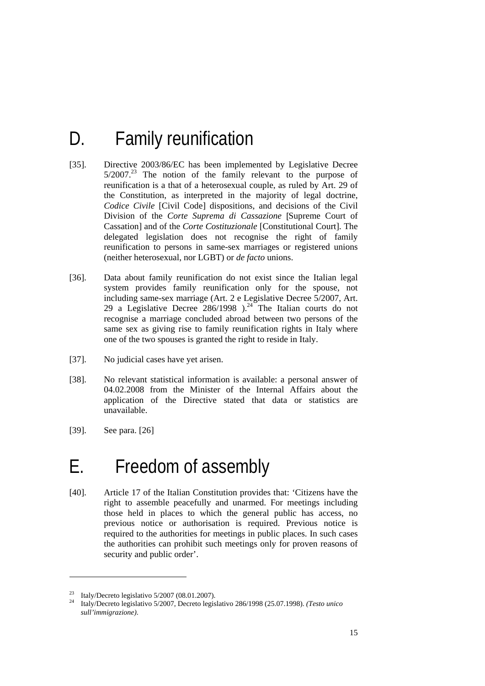# D. Family reunification

- [35]. Directive 2003/86/EC has been implemented by Legislative Decree  $5/2007<sup>23</sup>$  The notion of the family relevant to the purpose of reunification is a that of a heterosexual couple, as ruled by Art. 29 of the Constitution, as interpreted in the majority of legal doctrine, *Codice Civile* [Civil Code] dispositions, and decisions of the Civil Division of the *Corte Suprema di Cassazione* [Supreme Court of Cassation] and of the *Corte Costituzionale* [Constitutional Court]. The delegated legislation does not recognise the right of family reunification to persons in same-sex marriages or registered unions (neither heterosexual, nor LGBT) or *de facto* unions.
- [36]. Data about family reunification do not exist since the Italian legal system provides family reunification only for the spouse, not including same-sex marriage (Art. 2 e Legislative Decree 5/2007, Art. 29 a Legislative Decree  $286/1998$  ).<sup>24</sup> The Italian courts do not recognise a marriage concluded abroad between two persons of the same sex as giving rise to family reunification rights in Italy where one of the two spouses is granted the right to reside in Italy.
- [37]. No judicial cases have yet arisen.
- [38]. No relevant statistical information is available: a personal answer of 04.02.2008 from the Minister of the Internal Affairs about the application of the Directive stated that data or statistics are unavailable.
- [39]. See para. [26]

1

## E. Freedom of assembly

[40]. Article 17 of the Italian Constitution provides that: 'Citizens have the right to assemble peacefully and unarmed. For meetings including those held in places to which the general public has access, no previous notice or authorisation is required. Previous notice is required to the authorities for meetings in public places. In such cases the authorities can prohibit such meetings only for proven reasons of security and public order'.

<sup>&</sup>lt;sup>23</sup> Italy/Decreto legislativo  $5/2007$  (08.01.2007).

<sup>24</sup> Italy/Decreto legislativo 5/2007, Decreto legislativo 286/1998 (25.07.1998). *(Testo unico sull'immigrazione)*.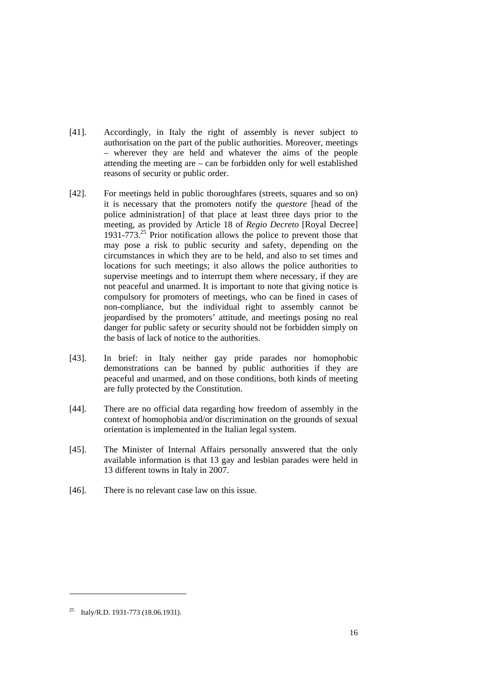- [41]. Accordingly, in Italy the right of assembly is never subject to authorisation on the part of the public authorities. Moreover, meetings – wherever they are held and whatever the aims of the people attending the meeting are – can be forbidden only for well established reasons of security or public order.
- [42]. For meetings held in public thoroughfares (streets, squares and so on) it is necessary that the promoters notify the *questore* [head of the police administration] of that place at least three days prior to the meeting, as provided by Article 18 of *Regio Decreto* [Royal Decree] 1931-773. $^{25}$  Prior notification allows the police to prevent those that may pose a risk to public security and safety, depending on the circumstances in which they are to be held, and also to set times and locations for such meetings; it also allows the police authorities to supervise meetings and to interrupt them where necessary, if they are not peaceful and unarmed. It is important to note that giving notice is compulsory for promoters of meetings, who can be fined in cases of non-compliance, but the individual right to assembly cannot be jeopardised by the promoters' attitude, and meetings posing no real danger for public safety or security should not be forbidden simply on the basis of lack of notice to the authorities.
- [43]. In brief: in Italy neither gay pride parades nor homophobic demonstrations can be banned by public authorities if they are peaceful and unarmed, and on those conditions, both kinds of meeting are fully protected by the Constitution.
- [44]. There are no official data regarding how freedom of assembly in the context of homophobia and/or discrimination on the grounds of sexual orientation is implemented in the Italian legal system.
- [45]. The Minister of Internal Affairs personally answered that the only available information is that 13 gay and lesbian parades were held in 13 different towns in Italy in 2007.
- [46]. There is no relevant case law on this issue.

<sup>25</sup> Italy/R.D. 1931-773 (18.06.1931).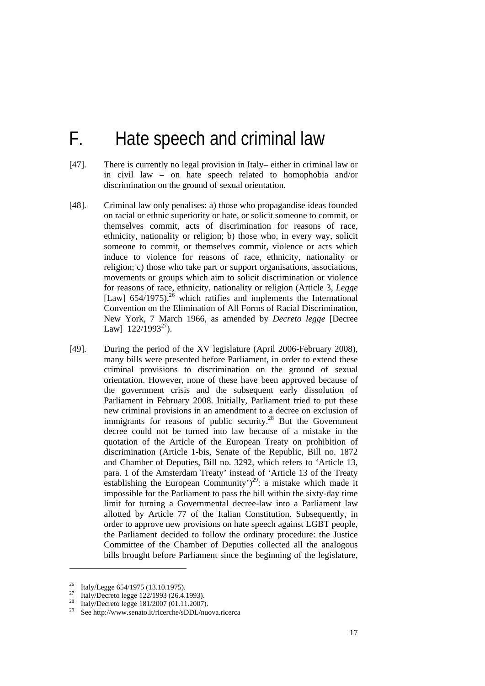## F. Hate speech and criminal law

- [47]. There is currently no legal provision in Italy– either in criminal law or in civil law – on hate speech related to homophobia and/or discrimination on the ground of sexual orientation.
- [48]. Criminal law only penalises: a) those who propagandise ideas founded on racial or ethnic superiority or hate, or solicit someone to commit, or themselves commit, acts of discrimination for reasons of race, ethnicity, nationality or religion; b) those who, in every way, solicit someone to commit, or themselves commit, violence or acts which induce to violence for reasons of race, ethnicity, nationality or religion; c) those who take part or support organisations, associations, movements or groups which aim to solicit discrimination or violence for reasons of race, ethnicity, nationality or religion (Article 3, *Legge* [Law]  $654/1975$ ,<sup>26</sup> which ratifies and implements the International Convention on the Elimination of All Forms of Racial Discrimination, New York, 7 March 1966, as amended by *Decreto legge* [Decree Lawl  $122/1993^{27}$ ).
- [49]. During the period of the XV legislature (April 2006-February 2008), many bills were presented before Parliament, in order to extend these criminal provisions to discrimination on the ground of sexual orientation. However, none of these have been approved because of the government crisis and the subsequent early dissolution of Parliament in February 2008. Initially, Parliament tried to put these new criminal provisions in an amendment to a decree on exclusion of immigrants for reasons of public security.<sup>28</sup> But the Government decree could not be turned into law because of a mistake in the quotation of the Article of the European Treaty on prohibition of discrimination (Article 1-bis, Senate of the Republic, Bill no. 1872 and Chamber of Deputies, Bill no. 3292, which refers to 'Article 13, para. 1 of the Amsterdam Treaty' instead of 'Article 13 of the Treaty establishing the European Community')<sup>29</sup>: a mistake which made it impossible for the Parliament to pass the bill within the sixty-day time limit for turning a Governmental decree-law into a Parliament law allotted by Article 77 of the Italian Constitution. Subsequently, in order to approve new provisions on hate speech against LGBT people, the Parliament decided to follow the ordinary procedure: the Justice Committee of the Chamber of Deputies collected all the analogous bills brought before Parliament since the beginning of the legislature,

<sup>&</sup>lt;sup>26</sup> Italy/Legge 654/1975 (13.10.1975).

<sup>27</sup> Italy/Decreto legge 122/1993 (26.4.1993).

<sup>&</sup>lt;sup>28</sup> Italy/Decreto legge 181/2007 (01.11.2007).

See http://www.senato.it/ricerche/sDDL/nuova.ricerca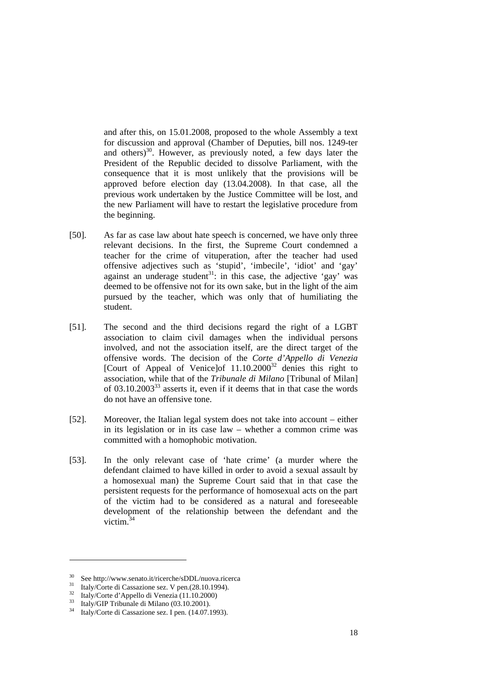and after this, on 15.01.2008, proposed to the whole Assembly a text for discussion and approval (Chamber of Deputies, bill nos. 1249-ter and others) $30$ . However, as previously noted, a few days later the President of the Republic decided to dissolve Parliament, with the consequence that it is most unlikely that the provisions will be approved before election day (13.04.2008). In that case, all the previous work undertaken by the Justice Committee will be lost, and the new Parliament will have to restart the legislative procedure from the beginning.

- [50]. As far as case law about hate speech is concerned, we have only three relevant decisions. In the first, the Supreme Court condemned a teacher for the crime of vituperation, after the teacher had used offensive adjectives such as 'stupid', 'imbecile', 'idiot' and 'gay' against an underage student<sup>31</sup>: in this case, the adjective 'gay' was deemed to be offensive not for its own sake, but in the light of the aim pursued by the teacher, which was only that of humiliating the student.
- [51]. The second and the third decisions regard the right of a LGBT association to claim civil damages when the individual persons involved, and not the association itself, are the direct target of the offensive words. The decision of the *Corte d'Appello di Venezia* [Court of Appeal of Venice]of  $11.10.2000^{32}$  denies this right to association, while that of the *Tribunale di Milano* [Tribunal of Milan] of 03.10.200333 asserts it, even if it deems that in that case the words do not have an offensive tone.
- [52]. Moreover, the Italian legal system does not take into account either in its legislation or in its case law – whether a common crime was committed with a homophobic motivation.
- [53]. In the only relevant case of 'hate crime' (a murder where the defendant claimed to have killed in order to avoid a sexual assault by a homosexual man) the Supreme Court said that in that case the persistent requests for the performance of homosexual acts on the part of the victim had to be considered as a natural and foreseeable development of the relationship between the defendant and the victim. $34$

-

<sup>&</sup>lt;sup>30</sup> See http://www.senato.it/ricerche/sDDL/nuova.ricerca<br><sup>31</sup> Italy/Corte di Cassazione sez. V pen.(28.10.1994).<br><sup>32</sup> Italy/Corte d'Appello di Venezia (11.10.2000)

 $\frac{33}{34}$  Italy/GIP Tribunale di Milano (03.10.2001).

Italy/Corte di Cassazione sez. I pen. (14.07.1993).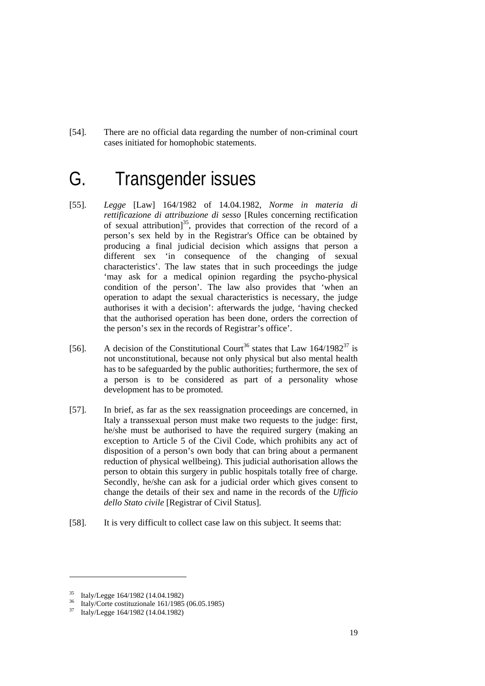[54]. There are no official data regarding the number of non-criminal court cases initiated for homophobic statements.

## G. Transgender issues

- [55]. *Legge* [Law] 164/1982 of 14.04.1982, *Norme in materia di rettificazione di attribuzione di sesso* [Rules concerning rectification of sexual attribution]<sup>35</sup>, provides that correction of the record of a person's sex held by in the Registrar's Office can be obtained by producing a final judicial decision which assigns that person a different sex 'in consequence of the changing of sexual characteristics'. The law states that in such proceedings the judge 'may ask for a medical opinion regarding the psycho-physical condition of the person'. The law also provides that 'when an operation to adapt the sexual characteristics is necessary, the judge authorises it with a decision': afterwards the judge, 'having checked that the authorised operation has been done, orders the correction of the person's sex in the records of Registrar's office'.
- [56]. A decision of the Constitutional Court<sup>36</sup> states that Law  $164/1982^{37}$  is not unconstitutional, because not only physical but also mental health has to be safeguarded by the public authorities; furthermore, the sex of a person is to be considered as part of a personality whose development has to be promoted.
- [57]. In brief, as far as the sex reassignation proceedings are concerned, in Italy a transsexual person must make two requests to the judge: first, he/she must be authorised to have the required surgery (making an exception to Article 5 of the Civil Code, which prohibits any act of disposition of a person's own body that can bring about a permanent reduction of physical wellbeing). This judicial authorisation allows the person to obtain this surgery in public hospitals totally free of charge. Secondly, he/she can ask for a judicial order which gives consent to change the details of their sex and name in the records of the *Ufficio dello Stato civile* [Registrar of Civil Status].
- [58]. It is very difficult to collect case law on this subject. It seems that:

 $^{35}$  Italy/Legge 164/1982 (14.04.1982)

<sup>36</sup> Italy/Corte costituzionale 161/1985 (06.05.1985)

<sup>37</sup> Italy/Legge 164/1982 (14.04.1982)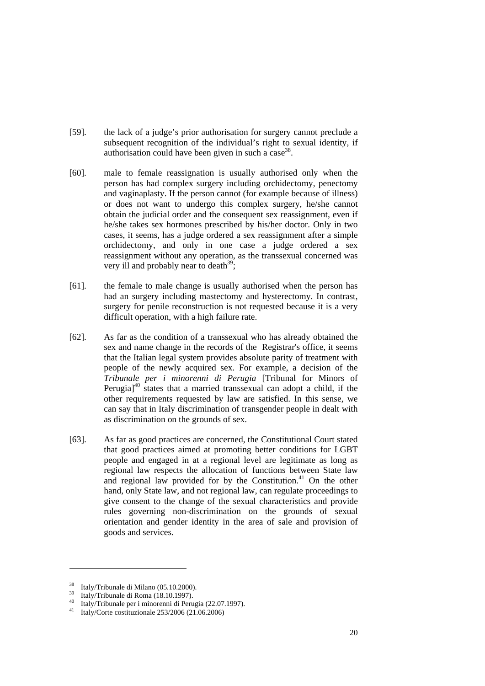- [59]. the lack of a judge's prior authorisation for surgery cannot preclude a subsequent recognition of the individual's right to sexual identity, if authorisation could have been given in such a case  $38$ .
- [60]. male to female reassignation is usually authorised only when the person has had complex surgery including orchidectomy, penectomy and vaginaplasty. If the person cannot (for example because of illness) or does not want to undergo this complex surgery, he/she cannot obtain the judicial order and the consequent sex reassignment, even if he/she takes sex hormones prescribed by his/her doctor. Only in two cases, it seems, has a judge ordered a sex reassignment after a simple orchidectomy, and only in one case a judge ordered a sex reassignment without any operation, as the transsexual concerned was very ill and probably near to death<sup>39</sup>;
- [61]. the female to male change is usually authorised when the person has had an surgery including mastectomy and hysterectomy. In contrast, surgery for penile reconstruction is not requested because it is a very difficult operation, with a high failure rate.
- [62]. As far as the condition of a transsexual who has already obtained the sex and name change in the records of the Registrar's office, it seems that the Italian legal system provides absolute parity of treatment with people of the newly acquired sex. For example, a decision of the *Tribunale per i minorenni di Perugia* [Tribunal for Minors of Perugia $1^{40}$  states that a married transsexual can adopt a child, if the other requirements requested by law are satisfied. In this sense, we can say that in Italy discrimination of transgender people in dealt with as discrimination on the grounds of sex.
- [63]. As far as good practices are concerned, the Constitutional Court stated that good practices aimed at promoting better conditions for LGBT people and engaged in at a regional level are legitimate as long as regional law respects the allocation of functions between State law and regional law provided for by the Constitution. $41$  On the other hand, only State law, and not regional law, can regulate proceedings to give consent to the change of the sexual characteristics and provide rules governing non-discrimination on the grounds of sexual orientation and gender identity in the area of sale and provision of goods and services.

<sup>&</sup>lt;sup>38</sup> Italy/Tribunale di Milano (05.10.2000).

 $^{39}$  Italy/Tribunale di Roma (18.10.1997).

<sup>&</sup>lt;sup>40</sup> Italy/Tribunale per i minorenni di Perugia (22.07.1997).<br><sup>41</sup> Italy/Corte costituzionale 253/2006 (21.06.2006)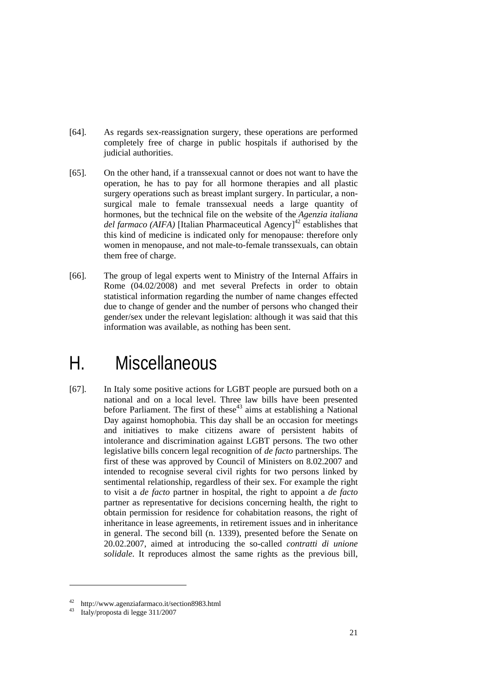- [64]. As regards sex-reassignation surgery, these operations are performed completely free of charge in public hospitals if authorised by the judicial authorities.
- [65]. On the other hand, if a transsexual cannot or does not want to have the operation, he has to pay for all hormone therapies and all plastic surgery operations such as breast implant surgery. In particular, a nonsurgical male to female transsexual needs a large quantity of hormones, but the technical file on the website of the *Agenzia italiana del farmaco (AIFA)* [Italian Pharmaceutical Agency]<sup>42</sup> establishes that this kind of medicine is indicated only for menopause: therefore only women in menopause, and not male-to-female transsexuals, can obtain them free of charge.
- [66]. The group of legal experts went to Ministry of the Internal Affairs in Rome (04.02/2008) and met several Prefects in order to obtain statistical information regarding the number of name changes effected due to change of gender and the number of persons who changed their gender/sex under the relevant legislation: although it was said that this information was available, as nothing has been sent.

## H. Miscellaneous

[67]. In Italy some positive actions for LGBT people are pursued both on a national and on a local level. Three law bills have been presented before Parliament. The first of these<sup>43</sup> aims at establishing a National Day against homophobia. This day shall be an occasion for meetings and initiatives to make citizens aware of persistent habits of intolerance and discrimination against LGBT persons. The two other legislative bills concern legal recognition of *de facto* partnerships. The first of these was approved by Council of Ministers on 8.02.2007 and intended to recognise several civil rights for two persons linked by sentimental relationship, regardless of their sex. For example the right to visit a *de facto* partner in hospital, the right to appoint a *de facto* partner as representative for decisions concerning health, the right to obtain permission for residence for cohabitation reasons, the right of inheritance in lease agreements, in retirement issues and in inheritance in general. The second bill (n. 1339), presented before the Senate on 20.02.2007, aimed at introducing the so-called *contratti di unione solidale*. It reproduces almost the same rights as the previous bill,

-

http://www.agenziafarmaco.it/section8983.html<br>Italy/proposta di legge 311/2007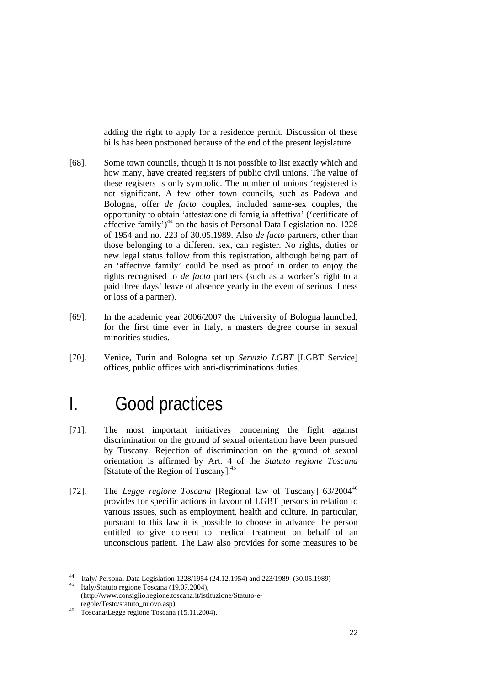adding the right to apply for a residence permit. Discussion of these bills has been postponed because of the end of the present legislature.

- [68]. Some town councils, though it is not possible to list exactly which and how many, have created registers of public civil unions. The value of these registers is only symbolic. The number of unions 'registered is not significant. A few other town councils, such as Padova and Bologna, offer *de facto* couples, included same-sex couples, the opportunity to obtain 'attestazione di famiglia affettiva' ('certificate of affective family' $)^{44}$  on the basis of Personal Data Legislation no. 1228 of 1954 and no. 223 of 30.05.1989. Also *de facto* partners, other than those belonging to a different sex, can register. No rights, duties or new legal status follow from this registration, although being part of an 'affective family' could be used as proof in order to enjoy the rights recognised to *de facto* partners (such as a worker's right to a paid three days' leave of absence yearly in the event of serious illness or loss of a partner).
- [69]. In the academic year 2006/2007 the University of Bologna launched, for the first time ever in Italy, a masters degree course in sexual minorities studies.
- [70]. Venice, Turin and Bologna set up *Servizio LGBT* [LGBT Service] offices, public offices with anti-discriminations duties.

## I. Good practices

- [71]. The most important initiatives concerning the fight against discrimination on the ground of sexual orientation have been pursued by Tuscany. Rejection of discrimination on the ground of sexual orientation is affirmed by Art. 4 of the *Statuto regione Toscana* [Statute of the Region of Tuscany].<sup>45</sup>
- [72]. The *Legge regione Toscana* [Regional law of Tuscany] 63/200446 provides for specific actions in favour of LGBT persons in relation to various issues, such as employment, health and culture. In particular, pursuant to this law it is possible to choose in advance the person entitled to give consent to medical treatment on behalf of an unconscious patient. The Law also provides for some measures to be

-

<sup>44</sup> Italy/ Personal Data Legislation 1228/1954 (24.12.1954) and 223/1989 (30.05.1989) 45 Italy/Statuto regione Toscana (19.07.2004),

<sup>(</sup>http://www.consiglio.regione.toscana.it/istituzione/Statuto-e-<br>regole/Testo/statuto\_nuovo.asp).

<sup>&</sup>lt;sup>46</sup> Toscana/Legge regione Toscana (15.11.2004).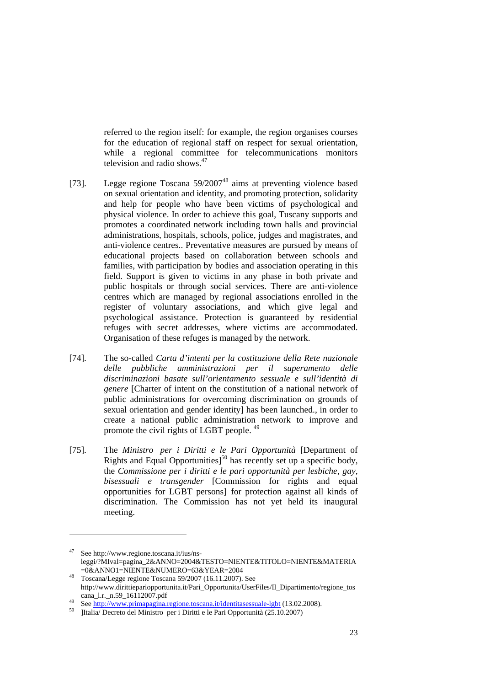referred to the region itself: for example, the region organises courses for the education of regional staff on respect for sexual orientation, while a regional committee for telecommunications monitors television and radio shows. $47$ 

- [73]. Legge regione Toscana 59/2007<sup>48</sup> aims at preventing violence based on sexual orientation and identity, and promoting protection, solidarity and help for people who have been victims of psychological and physical violence. In order to achieve this goal, Tuscany supports and promotes a coordinated network including town halls and provincial administrations, hospitals, schools, police, judges and magistrates, and anti-violence centres.. Preventative measures are pursued by means of educational projects based on collaboration between schools and families, with participation by bodies and association operating in this field. Support is given to victims in any phase in both private and public hospitals or through social services. There are anti-violence centres which are managed by regional associations enrolled in the register of voluntary associations, and which give legal and psychological assistance. Protection is guaranteed by residential refuges with secret addresses, where victims are accommodated. Organisation of these refuges is managed by the network.
- [74]. The so-called *Carta d'intenti per la costituzione della Rete nazionale delle pubbliche amministrazioni per il superamento delle discriminazioni basate sull'orientamento sessuale e sull'identità di genere* [Charter of intent on the constitution of a national network of public administrations for overcoming discrimination on grounds of sexual orientation and gender identity] has been launched., in order to create a national public administration network to improve and promote the civil rights of LGBT people. <sup>49</sup>
- [75]. The *Ministro per i Diritti e le Pari Opportunità* [Department of Rights and Equal Opportunities]<sup>50</sup> has recently set up a specific body, the *Commissione per i diritti e le pari opportunità per lesbiche, gay, bisessuali e transgender* [Commission for rights and equal opportunities for LGBT persons] for protection against all kinds of discrimination. The Commission has not yet held its inaugural meeting.

See http://www.regione.toscana.it/ius/nsleggi/?MIval=pagina\_2&ANNO=2004&TESTO=NIENTE&TITOLO=NIENTE&MATERIA

 $\frac{48}{100}$  Toscana/Legge regione Toscana 59/2007 (16.11.2007). See http://www.dirittiepariopportunita.it/Pari\_Opportunita/UserFiles/Il\_Dipartimento/regione\_tos cana\_l.r.\_n.59\_16112007.pdf<br>
<sup>49</sup> See <u>http://www.primapagina.regione.toscana.it/identitasessuale-lgbt</u> (13.02.2008).<br>
<sup>50</sup> IItalia/ Decreto del Ministro per i Diritti e le Pari Opportunità (25.10.2007)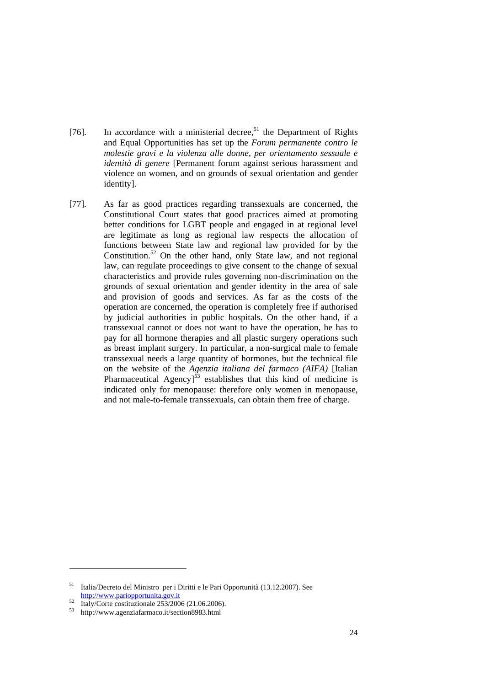- [76]. In accordance with a ministerial decree,<sup>51</sup> the Department of Rights and Equal Opportunities has set up the *Forum permanente contro le molestie gravi e la violenza alle donne, per orientamento sessuale e identità di genere* [Permanent forum against serious harassment and violence on women, and on grounds of sexual orientation and gender identity].
- [77]. As far as good practices regarding transsexuals are concerned, the Constitutional Court states that good practices aimed at promoting better conditions for LGBT people and engaged in at regional level are legitimate as long as regional law respects the allocation of functions between State law and regional law provided for by the Constitution.<sup>52</sup> On the other hand, only State law, and not regional law, can regulate proceedings to give consent to the change of sexual characteristics and provide rules governing non-discrimination on the grounds of sexual orientation and gender identity in the area of sale and provision of goods and services. As far as the costs of the operation are concerned, the operation is completely free if authorised by judicial authorities in public hospitals. On the other hand, if a transsexual cannot or does not want to have the operation, he has to pay for all hormone therapies and all plastic surgery operations such as breast implant surgery. In particular, a non-surgical male to female transsexual needs a large quantity of hormones, but the technical file on the website of the *Agenzia italiana del farmaco (AIFA)* [Italian Pharmaceutical Agency] $53$  establishes that this kind of medicine is indicated only for menopause: therefore only women in menopause, and not male-to-female transsexuals, can obtain them free of charge.

<sup>51</sup> Italia/Decreto del Ministro per i Diritti e le Pari Opportunità (13.12.2007). See  $\frac{\text{http://www.pariopportunita.gov.it}}{\text{Italy/Corte costituzionale } 253/2006 (21.06.2006)}$ .

<sup>53</sup> http://www.agenziafarmaco.it/section8983.html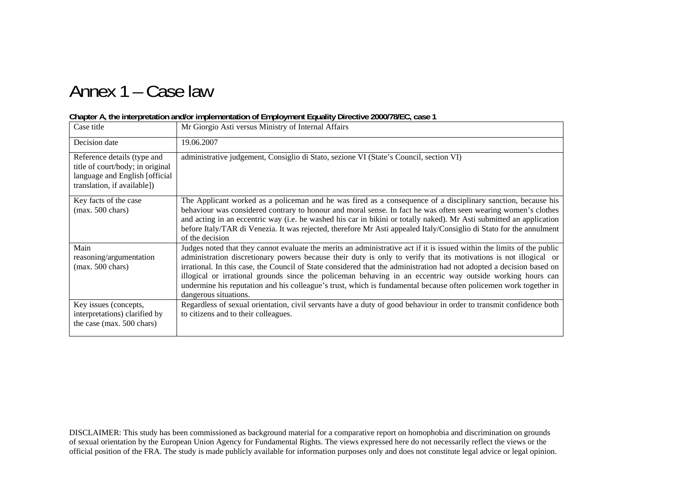# Annex 1 – Case law

| Case title                                                                                                                       | Mr Giorgio Asti versus Ministry of Internal Affairs                                                                                                                                                                                                                                                                                                                                                                                                                                                                                                                                                                               |
|----------------------------------------------------------------------------------------------------------------------------------|-----------------------------------------------------------------------------------------------------------------------------------------------------------------------------------------------------------------------------------------------------------------------------------------------------------------------------------------------------------------------------------------------------------------------------------------------------------------------------------------------------------------------------------------------------------------------------------------------------------------------------------|
| Decision date                                                                                                                    | 19.06.2007                                                                                                                                                                                                                                                                                                                                                                                                                                                                                                                                                                                                                        |
| Reference details (type and<br>title of court/body; in original<br>language and English [official<br>translation, if available]) | administrative judgement, Consiglio di Stato, sezione VI (State's Council, section VI)                                                                                                                                                                                                                                                                                                                                                                                                                                                                                                                                            |
| Key facts of the case<br>$(max. 500 \text{ chars})$                                                                              | The Applicant worked as a policeman and he was fired as a consequence of a disciplinary sanction, because his<br>behaviour was considered contrary to honour and moral sense. In fact he was often seen wearing women's clothes<br>and acting in an eccentric way (i.e. he washed his car in bikini or totally naked). Mr Asti submitted an application<br>before Italy/TAR di Venezia. It was rejected, therefore Mr Asti appealed Italy/Consiglio di Stato for the annulment<br>of the decision                                                                                                                                 |
| Main<br>reasoning/argumentation<br>$(max. 500 \text{ chars})$                                                                    | Judges noted that they cannot evaluate the merits an administrative act if it is issued within the limits of the public<br>administration discretionary powers because their duty is only to verify that its motivations is not illogical or<br>irrational. In this case, the Council of State considered that the administration had not adopted a decision based on<br>illogical or irrational grounds since the policeman behaving in an eccentric way outside working hours can<br>undermine his reputation and his colleague's trust, which is fundamental because often policemen work together in<br>dangerous situations. |
| Key issues (concepts,<br>interpretations) clarified by<br>the case (max. 500 chars)                                              | Regardless of sexual orientation, civil servants have a duty of good behaviour in order to transmit confidence both<br>to citizens and to their colleagues.                                                                                                                                                                                                                                                                                                                                                                                                                                                                       |

#### **Chapter A, the interpretation and/or implementation of Employment Equality Directive 2000/78/EC, case 1**

DISCLAIMER: This study has been commissioned as background material for a comparative report on homophobia and discrimination on grounds of sexual orientation by the European Union Agency for Fundamental Rights. The views expressed here do not necessarily reflect the views or the official position of the FRA. The study is made publicly available for information purposes only and does not constitute legal advice or legal opinion.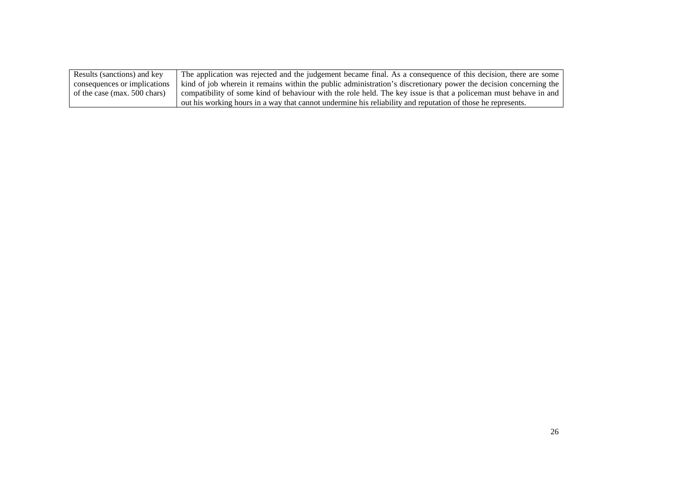| Results (sanctions) and key  | The application was rejected and the judgement became final. As a consequence of this decision, there are some    |
|------------------------------|-------------------------------------------------------------------------------------------------------------------|
| consequences or implications | kind of job wherein it remains within the public administration's discretionary power the decision concerning the |
| of the case (max. 500 chars) | compatibility of some kind of behaviour with the role held. The key issue is that a policeman must behave in and  |
|                              | out his working hours in a way that cannot undermine his reliability and reputation of those he represents.       |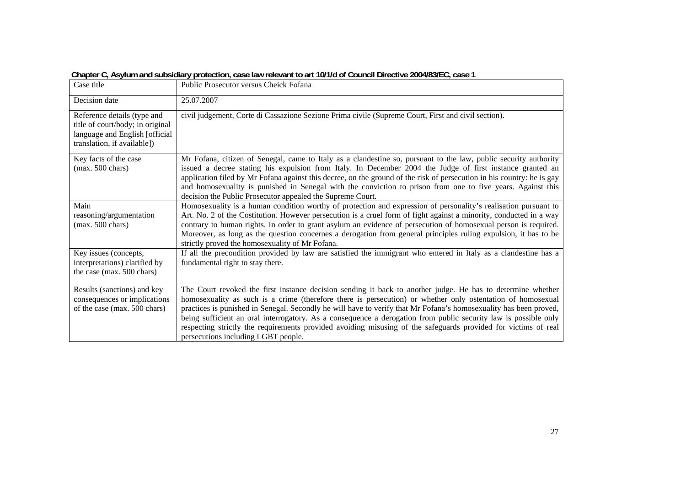| Case title                                                                                                                       | $\sigma$ and $\sigma$ and $\sigma$ and $\sigma$ and $\sigma$ and $\sigma$ and $\sigma$ and $\sigma$ and $\sigma$ and $\sigma$ and $\sigma$ and $\sigma$ and $\sigma$ and $\sigma$ and $\sigma$ and $\sigma$<br>Public Prosecutor versus Cheick Fofana                                                                                                                                                                                                                                                                                                                                                                       |
|----------------------------------------------------------------------------------------------------------------------------------|-----------------------------------------------------------------------------------------------------------------------------------------------------------------------------------------------------------------------------------------------------------------------------------------------------------------------------------------------------------------------------------------------------------------------------------------------------------------------------------------------------------------------------------------------------------------------------------------------------------------------------|
| Decision date                                                                                                                    | 25.07.2007                                                                                                                                                                                                                                                                                                                                                                                                                                                                                                                                                                                                                  |
| Reference details (type and<br>title of court/body; in original<br>language and English [official<br>translation, if available]) | civil judgement, Corte di Cassazione Sezione Prima civile (Supreme Court, First and civil section).                                                                                                                                                                                                                                                                                                                                                                                                                                                                                                                         |
| Key facts of the case<br>$(max. 500 \text{ chars})$                                                                              | Mr Fofana, citizen of Senegal, came to Italy as a clandestine so, pursuant to the law, public security authority<br>issued a decree stating his expulsion from Italy. In December 2004 the Judge of first instance granted an<br>application filed by Mr Fofana against this decree, on the ground of the risk of persecution in his country: he is gay<br>and homosexuality is punished in Senegal with the conviction to prison from one to five years. Against this<br>decision the Public Prosecutor appealed the Supreme Court.                                                                                        |
| Main<br>reasoning/argumentation<br>$(max. 500 \text{ chars})$                                                                    | Homosexuality is a human condition worthy of protection and expression of personality's realisation pursuant to<br>Art. No. 2 of the Costitution. However persecution is a cruel form of fight against a minority, conducted in a way<br>contrary to human rights. In order to grant asylum an evidence of persecution of homosexual person is required.<br>Moreover, as long as the question concernes a derogation from general principles ruling expulsion, it has to be<br>strictly proved the homosexuality of Mr Fofana.                                                                                              |
| Key issues (concepts,<br>interpretations) clarified by<br>the case (max. 500 chars)                                              | If all the precondition provided by law are satisfied the immigrant who entered in Italy as a clandestine has a<br>fundamental right to stay there.                                                                                                                                                                                                                                                                                                                                                                                                                                                                         |
| Results (sanctions) and key<br>consequences or implications<br>of the case (max. 500 chars)                                      | The Court revoked the first instance decision sending it back to another judge. He has to determine whether<br>homosexuality as such is a crime (therefore there is persecution) or whether only ostentation of homosexual<br>practices is punished in Senegal. Secondly he will have to verify that Mr Fofana's homosexuality has been proved,<br>being sufficient an oral interrogatory. As a consequence a derogation from public security law is possible only<br>respecting strictly the requirements provided avoiding misusing of the safeguards provided for victims of real<br>persecutions including LGBT people. |

 **Chapter C, Asylum and subsidiary protection, case law relevant to art 10/1/d of Council Directive 2004/83/EC, case 1**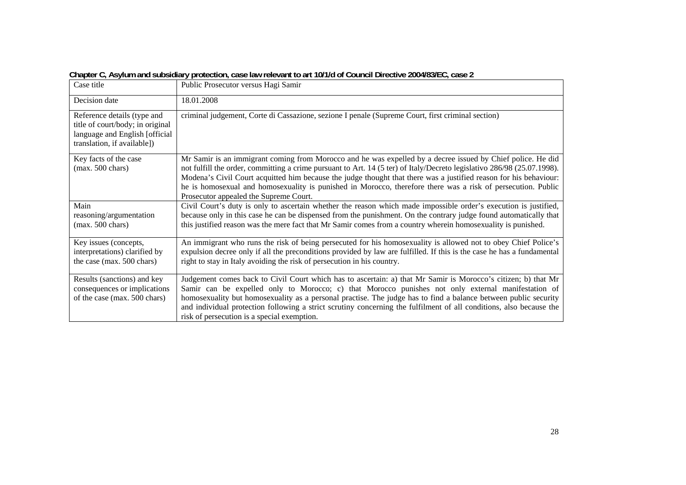| Case title                                                                                                                       | Public Prosecutor versus Hagi Samir                                                                                                                                                                                                                                                                                                                                                                                                                                                                                   |
|----------------------------------------------------------------------------------------------------------------------------------|-----------------------------------------------------------------------------------------------------------------------------------------------------------------------------------------------------------------------------------------------------------------------------------------------------------------------------------------------------------------------------------------------------------------------------------------------------------------------------------------------------------------------|
| Decision date                                                                                                                    | 18.01.2008                                                                                                                                                                                                                                                                                                                                                                                                                                                                                                            |
| Reference details (type and<br>title of court/body; in original<br>language and English [official<br>translation, if available]) | criminal judgement, Corte di Cassazione, sezione I penale (Supreme Court, first criminal section)                                                                                                                                                                                                                                                                                                                                                                                                                     |
| Key facts of the case<br>$(max. 500 \text{ chars})$                                                                              | Mr Samir is an immigrant coming from Morocco and he was expelled by a decree issued by Chief police. He did<br>not fulfill the order, committing a crime pursuant to Art. 14 (5 ter) of Italy/Decreto legislativo 286/98 (25.07.1998).<br>Modena's Civil Court acquitted him because the judge thought that there was a justified reason for his behaviour:<br>he is homosexual and homosexuality is punished in Morocco, therefore there was a risk of persecution. Public<br>Prosecutor appealed the Supreme Court. |
| Main<br>reasoning/argumentation<br>$(max. 500 \text{ chars})$                                                                    | Civil Court's duty is only to ascertain whether the reason which made impossible order's execution is justified,<br>because only in this case he can be dispensed from the punishment. On the contrary judge found automatically that<br>this justified reason was the mere fact that Mr Samir comes from a country wherein homosexuality is punished.                                                                                                                                                                |
| Key issues (concepts,<br>interpretations) clarified by<br>the case (max. 500 chars)                                              | An immigrant who runs the risk of being persecuted for his homosexuality is allowed not to obey Chief Police's<br>expulsion decree only if all the preconditions provided by law are fulfilled. If this is the case he has a fundamental<br>right to stay in Italy avoiding the risk of persecution in his country.                                                                                                                                                                                                   |
| Results (sanctions) and key<br>consequences or implications<br>of the case (max. 500 chars)                                      | Judgement comes back to Civil Court which has to ascertain: a) that Mr Samir is Morocco's citizen; b) that Mr<br>Samir can be expelled only to Morocco; c) that Morocco punishes not only external manifestation of<br>homosexuality but homosexuality as a personal practise. The judge has to find a balance between public security<br>and individual protection following a strict scrutiny concerning the fulfilment of all conditions, also because the<br>risk of persecution is a special exemption.          |

**Chapter C, Asylum and subsidiary protection, case law relevant to art 10/1/d of Council Directive 2004/83/EC, case 2**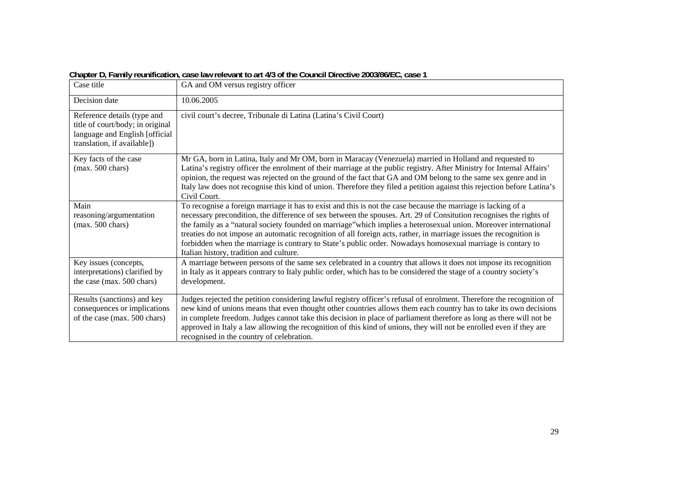| Case title                                                                                                                        | GA and OM versus registry officer                                                                                                                                                                                                                                                                                                                                                                                                                                                                                                                                                                                                       |
|-----------------------------------------------------------------------------------------------------------------------------------|-----------------------------------------------------------------------------------------------------------------------------------------------------------------------------------------------------------------------------------------------------------------------------------------------------------------------------------------------------------------------------------------------------------------------------------------------------------------------------------------------------------------------------------------------------------------------------------------------------------------------------------------|
| Decision date                                                                                                                     | 10.06.2005                                                                                                                                                                                                                                                                                                                                                                                                                                                                                                                                                                                                                              |
| Reference details (type and<br>title of court/body; in original<br>language and English [official]<br>translation, if available]) | civil court's decree, Tribunale di Latina (Latina's Civil Court)                                                                                                                                                                                                                                                                                                                                                                                                                                                                                                                                                                        |
| Key facts of the case<br>$(max. 500 \text{ chars})$                                                                               | Mr GA, born in Latina, Italy and Mr OM, born in Maracay (Venezuela) married in Holland and requested to<br>Latina's registry officer the enrolment of their marriage at the public registry. After Ministry for Internal Affairs'<br>opinion, the request was rejected on the ground of the fact that GA and OM belong to the same sex genre and in<br>Italy law does not recognise this kind of union. Therefore they filed a petition against this rejection before Latina's<br>Civil Court.                                                                                                                                          |
| Main<br>reasoning/argumentation<br>$(max. 500 \text{ chars})$                                                                     | To recognise a foreign marriage it has to exist and this is not the case because the marriage is lacking of a<br>necessary precondition, the difference of sex between the spouses. Art. 29 of Consitution recognises the rights of<br>the family as a "natural society founded on marriage" which implies a heterosexual union. Moreover international<br>treaties do not impose an automatic recognition of all foreign acts, rather, in marriage issues the recognition is<br>forbidden when the marriage is contrary to State's public order. Nowadays homosexual marriage is contary to<br>Italian history, tradition and culture. |
| Key issues (concepts,<br>interpretations) clarified by<br>the case (max. 500 chars)                                               | A marriage between persons of the same sex celebrated in a country that allows it does not impose its recognition<br>in Italy as it appears contrary to Italy public order, which has to be considered the stage of a country society's<br>development.                                                                                                                                                                                                                                                                                                                                                                                 |
| Results (sanctions) and key<br>consequences or implications<br>of the case (max. 500 chars)                                       | Judges rejected the petition considering lawful registry officer's refusal of enrolment. Therefore the recognition of<br>new kind of unions means that even thought other countries allows them each country has to take its own decisions<br>in complete freedom. Judges cannot take this decision in place of parliament therefore as long as there will not be<br>approved in Italy a law allowing the recognition of this kind of unions, they will not be enrolled even if they are<br>recognised in the country of celebration.                                                                                                   |

**Chapter D, Family reunification, case law relevant to art 4/3 of the Council Directive 2003/86/EC, case 1**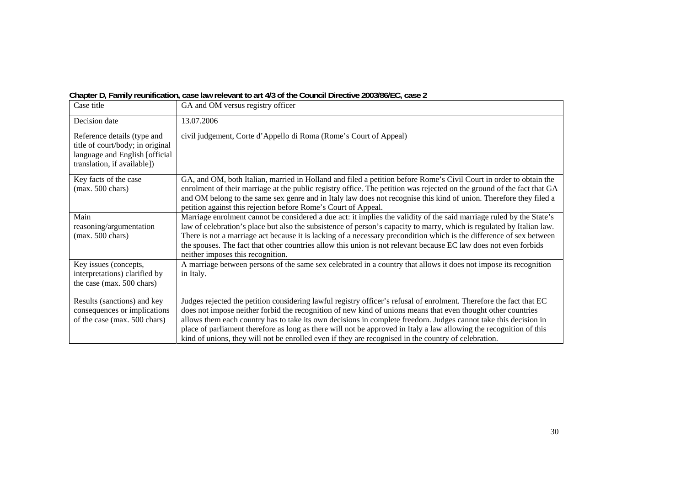|                                                                                                                                  | Gridpici D, Family I cumication, Casc law Felevalit to art 4D or the Council Directive Z003/00/LC, Case Z                                                                                                                                                                                                                                                                                                                                                                                                                                                                             |
|----------------------------------------------------------------------------------------------------------------------------------|---------------------------------------------------------------------------------------------------------------------------------------------------------------------------------------------------------------------------------------------------------------------------------------------------------------------------------------------------------------------------------------------------------------------------------------------------------------------------------------------------------------------------------------------------------------------------------------|
| Case title                                                                                                                       | GA and OM versus registry officer                                                                                                                                                                                                                                                                                                                                                                                                                                                                                                                                                     |
| Decision date                                                                                                                    | 13.07.2006                                                                                                                                                                                                                                                                                                                                                                                                                                                                                                                                                                            |
| Reference details (type and<br>title of court/body; in original<br>language and English [official<br>translation, if available]) | civil judgement, Corte d'Appello di Roma (Rome's Court of Appeal)                                                                                                                                                                                                                                                                                                                                                                                                                                                                                                                     |
| Key facts of the case<br>$(max. 500 \text{ chars})$                                                                              | GA, and OM, both Italian, married in Holland and filed a petition before Rome's Civil Court in order to obtain the<br>enrolment of their marriage at the public registry office. The petition was rejected on the ground of the fact that GA<br>and OM belong to the same sex genre and in Italy law does not recognise this kind of union. Therefore they filed a<br>petition against this rejection before Rome's Court of Appeal.                                                                                                                                                  |
| Main<br>reasoning/argumentation<br>$(max. 500 \text{ chars})$                                                                    | Marriage enrolment cannot be considered a due act: it implies the validity of the said marriage ruled by the State's<br>law of celebration's place but also the subsistence of person's capacity to marry, which is regulated by Italian law.<br>There is not a marriage act because it is lacking of a necessary precondition which is the difference of sex between<br>the spouses. The fact that other countries allow this union is not relevant because EC law does not even forbids<br>neither imposes this recognition.                                                        |
| Key issues (concepts,<br>interpretations) clarified by<br>the case (max. 500 chars)                                              | A marriage between persons of the same sex celebrated in a country that allows it does not impose its recognition<br>in Italy.                                                                                                                                                                                                                                                                                                                                                                                                                                                        |
| Results (sanctions) and key<br>consequences or implications<br>of the case (max. 500 chars)                                      | Judges rejected the petition considering lawful registry officer's refusal of enrolment. Therefore the fact that EC<br>does not impose neither forbid the recognition of new kind of unions means that even thought other countries<br>allows them each country has to take its own decisions in complete freedom. Judges cannot take this decision in<br>place of parliament therefore as long as there will not be approved in Italy a law allowing the recognition of this<br>kind of unions, they will not be enrolled even if they are recognised in the country of celebration. |

**Chapter D, Family reunification, case law relevant to art 4/3 of the Council Directive 2003/86/EC, case 2**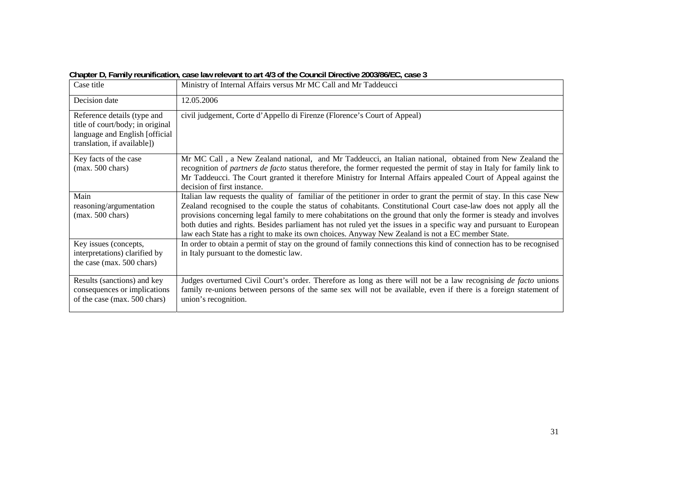| . <u>.</u> .                                                                                                                     |                                                                                                                                                                                                                                                                                                                                                                                                                                                                                                                                                                                           |
|----------------------------------------------------------------------------------------------------------------------------------|-------------------------------------------------------------------------------------------------------------------------------------------------------------------------------------------------------------------------------------------------------------------------------------------------------------------------------------------------------------------------------------------------------------------------------------------------------------------------------------------------------------------------------------------------------------------------------------------|
| Case title                                                                                                                       | Ministry of Internal Affairs versus Mr MC Call and Mr Taddeucci                                                                                                                                                                                                                                                                                                                                                                                                                                                                                                                           |
| Decision date                                                                                                                    | 12.05.2006                                                                                                                                                                                                                                                                                                                                                                                                                                                                                                                                                                                |
| Reference details (type and<br>title of court/body; in original<br>language and English [official<br>translation, if available]) | civil judgement, Corte d'Appello di Firenze (Florence's Court of Appeal)                                                                                                                                                                                                                                                                                                                                                                                                                                                                                                                  |
| Key facts of the case<br>$(max. 500 \text{ chars})$                                                                              | Mr MC Call, a New Zealand national, and Mr Taddeucci, an Italian national, obtained from New Zealand the<br>recognition of <i>partners de facto</i> status therefore, the former requested the permit of stay in Italy for family link to<br>Mr Taddeucci. The Court granted it therefore Ministry for Internal Affairs appealed Court of Appeal against the<br>decision of first instance.                                                                                                                                                                                               |
| Main<br>reasoning/argumentation<br>$(max. 500 \text{ chars})$                                                                    | Italian law requests the quality of familiar of the petitioner in order to grant the permit of stay. In this case New<br>Zealand recognised to the couple the status of cohabitants. Constitutional Court case-law does not apply all the<br>provisions concerning legal family to mere cohabitations on the ground that only the former is steady and involves<br>both duties and rights. Besides parliament has not ruled yet the issues in a specific way and pursuant to European<br>law each State has a right to make its own choices. Anyway New Zealand is not a EC member State. |
| Key issues (concepts,<br>interpretations) clarified by<br>the case (max. 500 chars)                                              | In order to obtain a permit of stay on the ground of family connections this kind of connection has to be recognised<br>in Italy pursuant to the domestic law.                                                                                                                                                                                                                                                                                                                                                                                                                            |
| Results (sanctions) and key<br>consequences or implications<br>of the case (max. 500 chars)                                      | Judges overturned Civil Court's order. Therefore as long as there will not be a law recognising de facto unions<br>family re-unions between persons of the same sex will not be available, even if there is a foreign statement of<br>union's recognition.                                                                                                                                                                                                                                                                                                                                |

**Chapter D, Family reunification, case law relevant to art 4/3 of the Council Directive 2003/86/EC, case 3**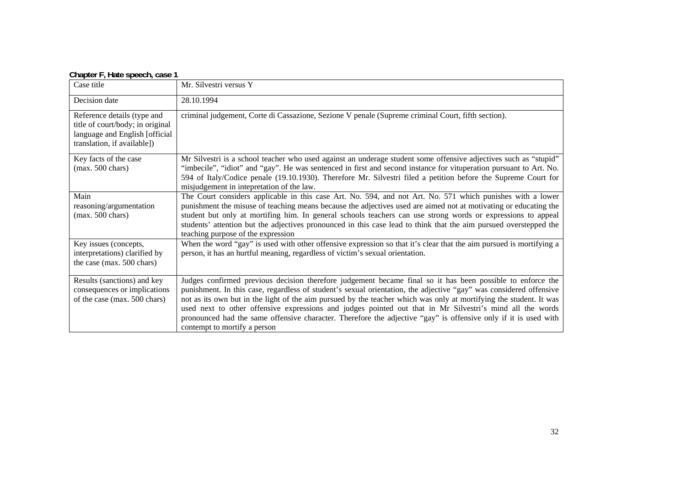| $\sigma$ and $\sigma$ is the contracted by $\sigma$ and $\sigma$ is the contracted by $\sigma$                                   |                                                                                                                                                                                                                                                                                                                                                                                                                                                                                                                                                                                                                        |
|----------------------------------------------------------------------------------------------------------------------------------|------------------------------------------------------------------------------------------------------------------------------------------------------------------------------------------------------------------------------------------------------------------------------------------------------------------------------------------------------------------------------------------------------------------------------------------------------------------------------------------------------------------------------------------------------------------------------------------------------------------------|
| Case title                                                                                                                       | Mr. Silvestri versus Y                                                                                                                                                                                                                                                                                                                                                                                                                                                                                                                                                                                                 |
| Decision date                                                                                                                    | 28.10.1994                                                                                                                                                                                                                                                                                                                                                                                                                                                                                                                                                                                                             |
| Reference details (type and<br>title of court/body; in original<br>language and English [official<br>translation, if available]) | criminal judgement, Corte di Cassazione, Sezione V penale (Supreme criminal Court, fifth section).                                                                                                                                                                                                                                                                                                                                                                                                                                                                                                                     |
| Key facts of the case<br>$(max. 500 \text{ chars})$                                                                              | Mr Silvestri is a school teacher who used against an underage student some offensive adjectives such as "stupid"<br>"imbecile", "idiot" and "gay". He was sentenced in first and second instance for vituperation pursuant to Art. No.<br>594 of Italy/Codice penale (19.10.1930). Therefore Mr. Silvestri filed a petition before the Supreme Court for<br>misjudgement in intepretation of the law.                                                                                                                                                                                                                  |
| Main<br>reasoning/argumentation<br>$(max. 500 \text{ chars})$                                                                    | The Court considers applicable in this case Art. No. 594, and not Art. No. 571 which punishes with a lower<br>punishment the misuse of teaching means because the adjectives used are aimed not at motivating or educating the<br>student but only at mortifing him. In general schools teachers can use strong words or expressions to appeal<br>students' attention but the adjectives pronounced in this case lead to think that the aim pursued overstepped the<br>teaching purpose of the expression                                                                                                              |
| Key issues (concepts,<br>interpretations) clarified by<br>the case (max. 500 chars)                                              | When the word "gay" is used with other offensive expression so that it's clear that the aim pursued is mortifying a<br>person, it has an hurtful meaning, regardless of victim's sexual orientation.                                                                                                                                                                                                                                                                                                                                                                                                                   |
| Results (sanctions) and key<br>consequences or implications<br>of the case (max. 500 chars)                                      | Judges confirmed previous decision therefore judgement became final so it has been possible to enforce the<br>punishment. In this case, regardless of student's sexual orientation, the adjective "gay" was considered offensive<br>not as its own but in the light of the aim pursued by the teacher which was only at mortifying the student. It was<br>used next to other offensive expressions and judges pointed out that in Mr Silvestri's mind all the words<br>pronounced had the same offensive character. Therefore the adjective "gay" is offensive only if it is used with<br>contempt to mortify a person |

#### **Chapter F, Hate speech, case 1**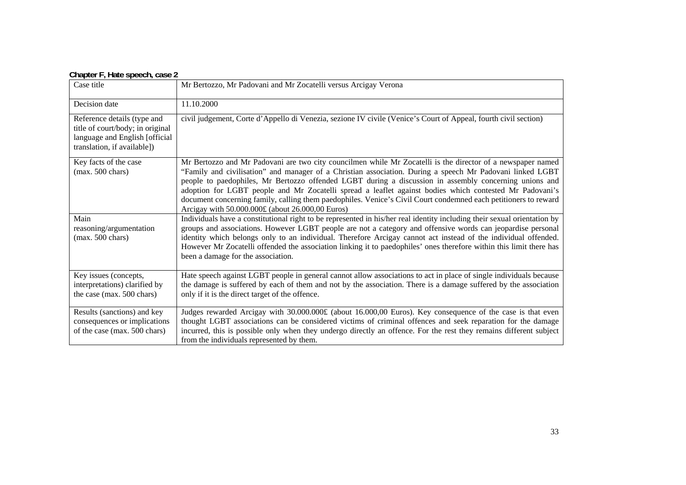| Case title                                                                                                                       | Mr Bertozzo, Mr Padovani and Mr Zocatelli versus Arcigay Verona                                                                                                                                                                                                                                                                                                                                                                                                                                                                                                                                                      |
|----------------------------------------------------------------------------------------------------------------------------------|----------------------------------------------------------------------------------------------------------------------------------------------------------------------------------------------------------------------------------------------------------------------------------------------------------------------------------------------------------------------------------------------------------------------------------------------------------------------------------------------------------------------------------------------------------------------------------------------------------------------|
| Decision date                                                                                                                    | 11.10.2000                                                                                                                                                                                                                                                                                                                                                                                                                                                                                                                                                                                                           |
| Reference details (type and<br>title of court/body; in original<br>language and English [official<br>translation, if available]) | civil judgement, Corte d'Appello di Venezia, sezione IV civile (Venice's Court of Appeal, fourth civil section)                                                                                                                                                                                                                                                                                                                                                                                                                                                                                                      |
| Key facts of the case<br>$(max. 500 \text{ chars})$                                                                              | Mr Bertozzo and Mr Padovani are two city councilmen while Mr Zocatelli is the director of a newspaper named<br>"Family and civilisation" and manager of a Christian association. During a speech Mr Padovani linked LGBT<br>people to paedophiles, Mr Bertozzo offended LGBT during a discussion in assembly concerning unions and<br>adoption for LGBT people and Mr Zocatelli spread a leaflet against bodies which contested Mr Padovani's<br>document concerning family, calling them paedophiles. Venice's Civil Court condemned each petitioners to reward<br>Arcigay with 50.000.000£ (about 26.000,00 Euros) |
| Main<br>reasoning/argumentation<br>$(max. 500 \text{ chars})$                                                                    | Individuals have a constitutional right to be represented in his/her real identity including their sexual orientation by<br>groups and associations. However LGBT people are not a category and offensive words can jeopardise personal<br>identity which belongs only to an individual. Therefore Arcigay cannot act instead of the individual offended.<br>However Mr Zocatelli offended the association linking it to paedophiles' ones therefore within this limit there has<br>been a damage for the association.                                                                                               |
| Key issues (concepts,<br>interpretations) clarified by<br>the case (max. 500 chars)                                              | Hate speech against LGBT people in general cannot allow associations to act in place of single individuals because<br>the damage is suffered by each of them and not by the association. There is a damage suffered by the association<br>only if it is the direct target of the offence.                                                                                                                                                                                                                                                                                                                            |
| Results (sanctions) and key<br>consequences or implications<br>of the case (max. 500 chars)                                      | Judges rewarded Arcigay with 30.000.000£ (about 16.000,00 Euros). Key consequence of the case is that even<br>thought LGBT associations can be considered victims of criminal offences and seek reparation for the damage<br>incurred, this is possible only when they undergo directly an offence. For the rest they remains different subject<br>from the individuals represented by them.                                                                                                                                                                                                                         |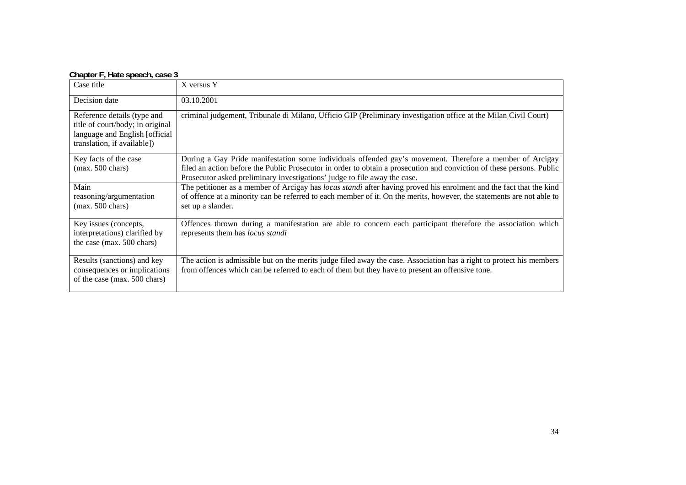| Case title                                                                                                                        | X versus Y                                                                                                                                                                                                                                                                                                     |
|-----------------------------------------------------------------------------------------------------------------------------------|----------------------------------------------------------------------------------------------------------------------------------------------------------------------------------------------------------------------------------------------------------------------------------------------------------------|
| Decision date                                                                                                                     | 03.10.2001                                                                                                                                                                                                                                                                                                     |
| Reference details (type and<br>title of court/body; in original<br>language and English [official]<br>translation, if available]) | criminal judgement, Tribunale di Milano, Ufficio GIP (Preliminary investigation office at the Milan Civil Court)                                                                                                                                                                                               |
| Key facts of the case<br>$(max. 500 \text{ chars})$                                                                               | During a Gay Pride manifestation some individuals offended gay's movement. Therefore a member of Arcigay<br>filed an action before the Public Prosecutor in order to obtain a prosecution and conviction of these persons. Public<br>Prosecutor asked preliminary investigations' judge to file away the case. |
| Main<br>reasoning/argumentation<br>$(max. 500 \text{ chars})$                                                                     | The petitioner as a member of Arcigay has locus standi after having proved his enrolment and the fact that the kind<br>of offence at a minority can be referred to each member of it. On the merits, however, the statements are not able to<br>set up a slander.                                              |
| Key issues (concepts,<br>interpretations) clarified by<br>the case (max. 500 chars)                                               | Offences thrown during a manifestation are able to concern each participant therefore the association which<br>represents them has locus standi                                                                                                                                                                |
| Results (sanctions) and key<br>consequences or implications<br>of the case (max. 500 chars)                                       | The action is admissible but on the merits judge filed away the case. Association has a right to protect his members<br>from offences which can be referred to each of them but they have to present an offensive tone.                                                                                        |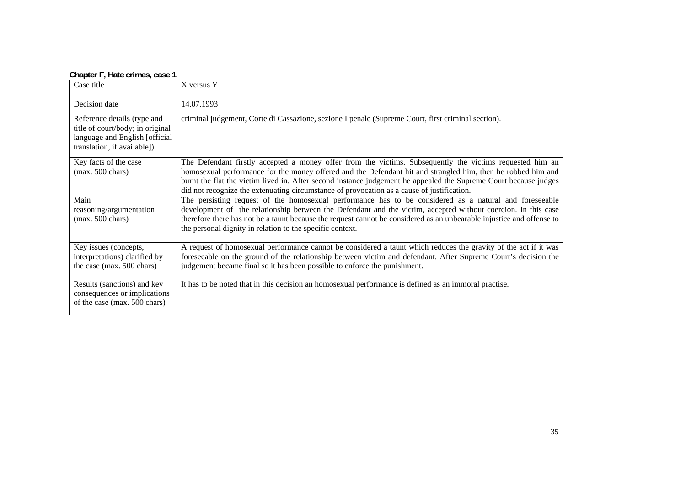| Chapter F, Hatc Chines, Case T                                                                                                   |                                                                                                                                                                                                                                                                                                                                                                                                                                            |
|----------------------------------------------------------------------------------------------------------------------------------|--------------------------------------------------------------------------------------------------------------------------------------------------------------------------------------------------------------------------------------------------------------------------------------------------------------------------------------------------------------------------------------------------------------------------------------------|
| Case title                                                                                                                       | X versus Y                                                                                                                                                                                                                                                                                                                                                                                                                                 |
| Decision date                                                                                                                    | 14.07.1993                                                                                                                                                                                                                                                                                                                                                                                                                                 |
| Reference details (type and<br>title of court/body; in original<br>language and English [official<br>translation, if available]) | criminal judgement, Corte di Cassazione, sezione I penale (Supreme Court, first criminal section).                                                                                                                                                                                                                                                                                                                                         |
| Key facts of the case<br>$(max. 500 \text{ chars})$                                                                              | The Defendant firstly accepted a money offer from the victims. Subsequently the victims requested him an<br>homosexual performance for the money offered and the Defendant hit and strangled him, then he robbed him and<br>burnt the flat the victim lived in. After second instance judgement he appealed the Supreme Court because judges<br>did not recognize the extenuating circumstance of provocation as a cause of justification. |
| Main<br>reasoning/argumentation<br>$(max. 500 \text{ chars})$                                                                    | The persisting request of the homosexual performance has to be considered as a natural and foreseeable<br>development of the relationship between the Defendant and the victim, accepted without coercion. In this case<br>therefore there has not be a taunt because the request cannot be considered as an unbearable injustice and offense to<br>the personal dignity in relation to the specific context.                              |
| Key issues (concepts,<br>interpretations) clarified by<br>the case (max. 500 chars)                                              | A request of homosexual performance cannot be considered a taunt which reduces the gravity of the act if it was<br>foreseeable on the ground of the relationship between victim and defendant. After Supreme Court's decision the<br>judgement became final so it has been possible to enforce the punishment.                                                                                                                             |
| Results (sanctions) and key<br>consequences or implications<br>of the case (max. 500 chars)                                      | It has to be noted that in this decision an homosexual performance is defined as an immoral practise.                                                                                                                                                                                                                                                                                                                                      |

#### **Chapter F, Hate crimes, case 1**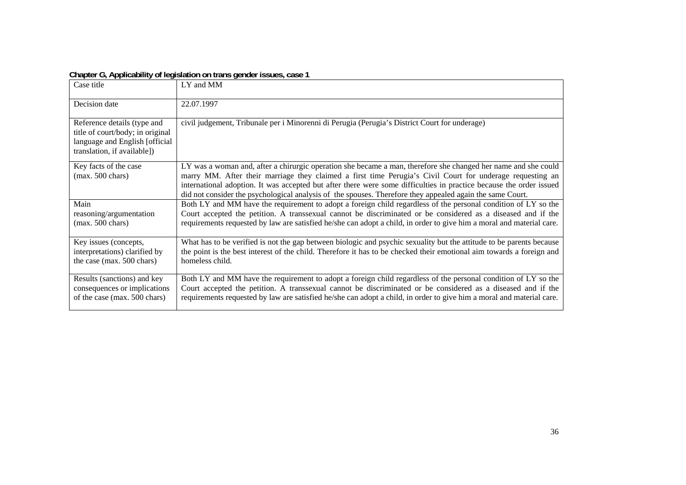| $\sigma$ , $\sigma$ , $\sigma$ , $\sigma$ , $\sigma$ , $\sigma$ , $\sigma$ , $\sigma$ , $\sigma$ , $\sigma$ , $\sigma$ , $\sigma$ , $\sigma$ , $\sigma$ , $\sigma$ , $\sigma$ , $\sigma$ , $\sigma$ , $\sigma$ , $\sigma$ , $\sigma$ , $\sigma$ , $\sigma$ , $\sigma$ , $\sigma$ , $\sigma$ , $\sigma$ , $\sigma$ , $\sigma$ , $\sigma$ , $\sigma$ , $\sigma$ |                                                                                                                                                                                                                                                                                                                                                                                                                                                                 |  |
|---------------------------------------------------------------------------------------------------------------------------------------------------------------------------------------------------------------------------------------------------------------------------------------------------------------------------------------------------------------|-----------------------------------------------------------------------------------------------------------------------------------------------------------------------------------------------------------------------------------------------------------------------------------------------------------------------------------------------------------------------------------------------------------------------------------------------------------------|--|
| Case title                                                                                                                                                                                                                                                                                                                                                    | LY and MM                                                                                                                                                                                                                                                                                                                                                                                                                                                       |  |
| Decision date                                                                                                                                                                                                                                                                                                                                                 | 22.07.1997                                                                                                                                                                                                                                                                                                                                                                                                                                                      |  |
| Reference details (type and<br>title of court/body; in original<br>language and English [official]<br>translation, if available])                                                                                                                                                                                                                             | civil judgement, Tribunale per i Minorenni di Perugia (Perugia's District Court for underage)                                                                                                                                                                                                                                                                                                                                                                   |  |
| Key facts of the case<br>$(max. 500 \text{ chars})$                                                                                                                                                                                                                                                                                                           | LY was a woman and, after a chirurgic operation she became a man, therefore she changed her name and she could<br>marry MM. After their marriage they claimed a first time Perugia's Civil Court for underage requesting an<br>international adoption. It was accepted but after there were some difficulties in practice because the order issued<br>did not consider the psychological analysis of the spouses. Therefore they appealed again the same Court. |  |
| Main<br>reasoning/argumentation<br>$(max. 500 \text{ chars})$                                                                                                                                                                                                                                                                                                 | Both LY and MM have the requirement to adopt a foreign child regardless of the personal condition of LY so the<br>Court accepted the petition. A transsexual cannot be discriminated or be considered as a diseased and if the<br>requirements requested by law are satisfied he/she can adopt a child, in order to give him a moral and material care.                                                                                                         |  |
| Key issues (concepts,<br>interpretations) clarified by<br>the case (max. 500 chars)                                                                                                                                                                                                                                                                           | What has to be verified is not the gap between biologic and psychic sexuality but the attitude to be parents because<br>the point is the best interest of the child. Therefore it has to be checked their emotional aim towards a foreign and<br>homeless child.                                                                                                                                                                                                |  |
| Results (sanctions) and key<br>consequences or implications<br>of the case (max. 500 chars)                                                                                                                                                                                                                                                                   | Both LY and MM have the requirement to adopt a foreign child regardless of the personal condition of LY so the<br>Court accepted the petition. A transsexual cannot be discriminated or be considered as a diseased and if the<br>requirements requested by law are satisfied he/she can adopt a child, in order to give him a moral and material care.                                                                                                         |  |

#### **Chapter G, Applicability of legislation on trans gender issues, case 1**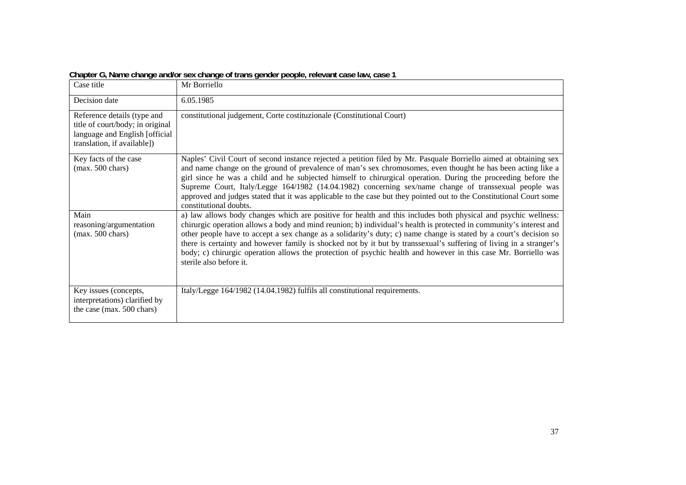|                                                                                                                                  | $\sigma$ , $\sigma$ , and $\sigma$ , and $\sigma$ and $\sigma$ and $\sigma$ and $\sigma$ and $\sigma$ and $\sigma$ and $\sigma$ and $\sigma$ and $\sigma$ and $\sigma$ and $\sigma$                                                                                                                                                                                                                                                                                                                                                                                                                                              |
|----------------------------------------------------------------------------------------------------------------------------------|----------------------------------------------------------------------------------------------------------------------------------------------------------------------------------------------------------------------------------------------------------------------------------------------------------------------------------------------------------------------------------------------------------------------------------------------------------------------------------------------------------------------------------------------------------------------------------------------------------------------------------|
| Case title                                                                                                                       | Mr Borriello                                                                                                                                                                                                                                                                                                                                                                                                                                                                                                                                                                                                                     |
| Decision date                                                                                                                    | 6.05.1985                                                                                                                                                                                                                                                                                                                                                                                                                                                                                                                                                                                                                        |
| Reference details (type and<br>title of court/body; in original<br>language and English [official<br>translation, if available]) | constitutional judgement, Corte costituzionale (Constitutional Court)                                                                                                                                                                                                                                                                                                                                                                                                                                                                                                                                                            |
| Key facts of the case<br>$(max. 500 \text{ chars})$                                                                              | Naples' Civil Court of second instance rejected a petition filed by Mr. Pasquale Borriello aimed at obtaining sex<br>and name change on the ground of prevalence of man's sex chromosomes, even thought he has been acting like a<br>girl since he was a child and he subjected himself to chirurgical operation. During the proceeding before the<br>Supreme Court, Italy/Legge 164/1982 (14.04.1982) concerning sex/name change of transsexual people was<br>approved and judges stated that it was applicable to the case but they pointed out to the Constitutional Court some<br>constitutional doubts.                     |
| Main<br>reasoning/argumentation<br>$(max. 500 \text{ chars})$                                                                    | a) law allows body changes which are positive for health and this includes both physical and psychic wellness:<br>chirurgic operation allows a body and mind reunion; b) individual's health is protected in community's interest and<br>other people have to accept a sex change as a solidarity's duty; c) name change is stated by a court's decision so<br>there is certainty and however family is shocked not by it but by transsexual's suffering of living in a stranger's<br>body; c) chirurgic operation allows the protection of psychic health and however in this case Mr. Borriello was<br>sterile also before it. |
| Key issues (concepts,<br>interpretations) clarified by<br>the case (max. 500 chars)                                              | Italy/Legge 164/1982 (14.04.1982) fulfils all constitutional requirements.                                                                                                                                                                                                                                                                                                                                                                                                                                                                                                                                                       |

**Chapter G, Name change and/or sex change of trans gender people, relevant case law, case 1**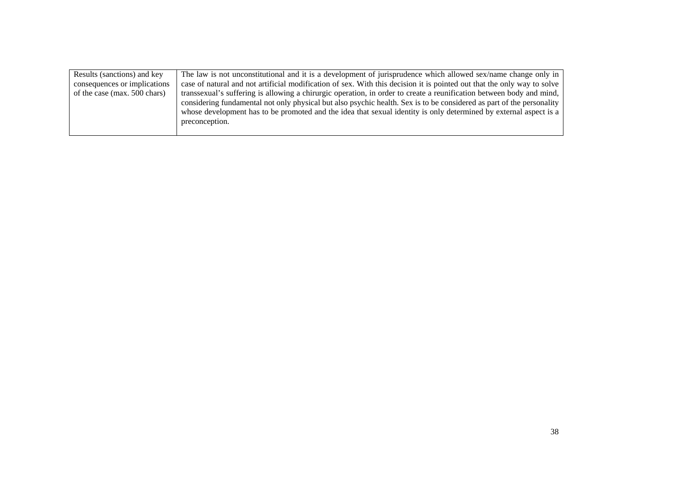| Results (sanctions) and key  | The law is not unconstitutional and it is a development of jurisprudence which allowed sex/name change only in                                                                                                                                                                                                                                                                       |
|------------------------------|--------------------------------------------------------------------------------------------------------------------------------------------------------------------------------------------------------------------------------------------------------------------------------------------------------------------------------------------------------------------------------------|
| consequences or implications | case of natural and not artificial modification of sex. With this decision it is pointed out that the only way to solve                                                                                                                                                                                                                                                              |
| of the case (max. 500 chars) | transsexual's suffering is allowing a chirurgic operation, in order to create a reunification between body and mind,<br>considering fundamental not only physical but also psychic health. Sex is to be considered as part of the personality<br>whose development has to be promoted and the idea that sexual identity is only determined by external aspect is a<br>preconception. |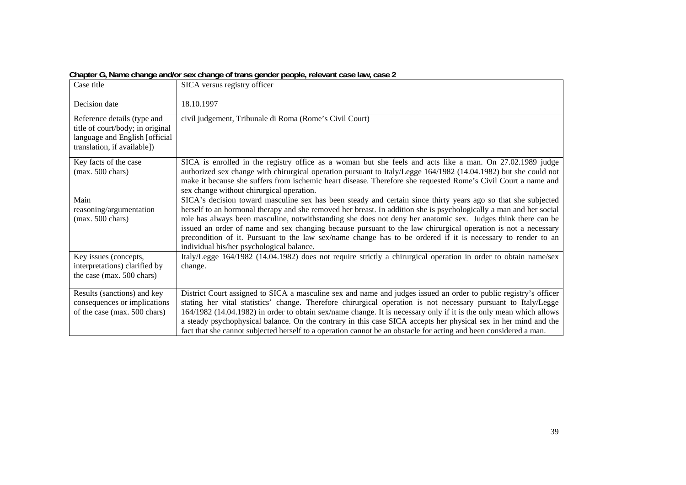| onapion $\sigma_i$ name onango anaron sok onango on transigoniaon pooplo $_i$ rolevant case law, case $\epsilon$                 |                                                                                                                                                                                                                                                                                                                                                                                                                                                                                                                                                                                                                                    |  |
|----------------------------------------------------------------------------------------------------------------------------------|------------------------------------------------------------------------------------------------------------------------------------------------------------------------------------------------------------------------------------------------------------------------------------------------------------------------------------------------------------------------------------------------------------------------------------------------------------------------------------------------------------------------------------------------------------------------------------------------------------------------------------|--|
| Case title                                                                                                                       | SICA versus registry officer                                                                                                                                                                                                                                                                                                                                                                                                                                                                                                                                                                                                       |  |
| Decision date                                                                                                                    | 18.10.1997                                                                                                                                                                                                                                                                                                                                                                                                                                                                                                                                                                                                                         |  |
| Reference details (type and<br>title of court/body; in original<br>language and English [official<br>translation, if available]) | civil judgement, Tribunale di Roma (Rome's Civil Court)                                                                                                                                                                                                                                                                                                                                                                                                                                                                                                                                                                            |  |
| Key facts of the case<br>$(max. 500 \text{ chars})$                                                                              | SICA is enrolled in the registry office as a woman but she feels and acts like a man. On 27.02.1989 judge<br>authorized sex change with chirurgical operation pursuant to Italy/Legge 164/1982 (14.04.1982) but she could not<br>make it because she suffers from ischemic heart disease. Therefore she requested Rome's Civil Court a name and<br>sex change without chirurgical operation.                                                                                                                                                                                                                                       |  |
| Main<br>reasoning/argumentation<br>$(max. 500 \text{ chars})$                                                                    | SICA's decision toward masculine sex has been steady and certain since thirty years ago so that she subjected<br>herself to an hormonal therapy and she removed her breast. In addition she is psychologically a man and her social<br>role has always been masculine, notwithstanding she does not deny her anatomic sex. Judges think there can be<br>issued an order of name and sex changing because pursuant to the law chirurgical operation is not a necessary<br>precondition of it. Pursuant to the law sex/name change has to be ordered if it is necessary to render to an<br>individual his/her psychological balance. |  |
| Key issues (concepts,<br>interpretations) clarified by<br>the case (max. 500 chars)                                              | Italy/Legge 164/1982 (14.04.1982) does not require strictly a chirurgical operation in order to obtain name/sex<br>change.                                                                                                                                                                                                                                                                                                                                                                                                                                                                                                         |  |
| Results (sanctions) and key<br>consequences or implications<br>of the case (max. 500 chars)                                      | District Court assigned to SICA a masculine sex and name and judges issued an order to public registry's officer<br>stating her vital statistics' change. Therefore chirurgical operation is not necessary pursuant to Italy/Legge<br>164/1982 (14.04.1982) in order to obtain sex/name change. It is necessary only if it is the only mean which allows<br>a steady psychophysical balance. On the contrary in this case SICA accepts her physical sex in her mind and the<br>fact that she cannot subjected herself to a operation cannot be an obstacle for acting and been considered a man.                                   |  |

**Chapter G, Name change and/or sex change of trans gender people, relevant case law, case 2**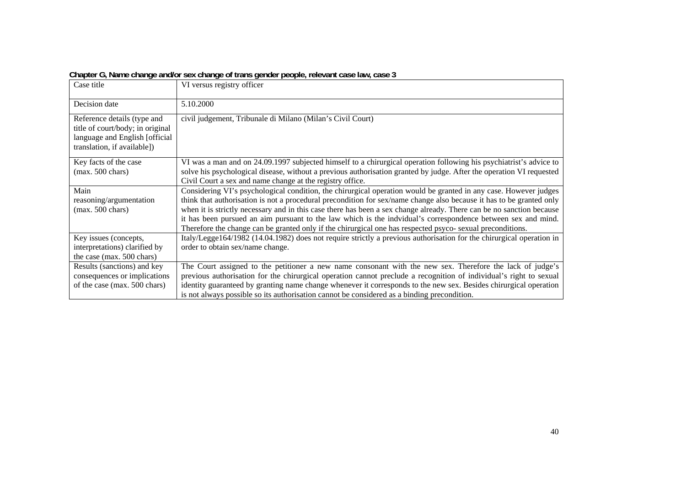| onapion $\sigma_i$ name onango anaron sok onango on transigoniaon pooplo $_i$ rolevant case law, case o |                                                                                                                      |  |
|---------------------------------------------------------------------------------------------------------|----------------------------------------------------------------------------------------------------------------------|--|
| Case title                                                                                              | VI versus registry officer                                                                                           |  |
| Decision date                                                                                           | 5.10.2000                                                                                                            |  |
| Reference details (type and                                                                             | civil judgement, Tribunale di Milano (Milan's Civil Court)                                                           |  |
| title of court/body; in original                                                                        |                                                                                                                      |  |
| language and English [official                                                                          |                                                                                                                      |  |
| translation, if available])                                                                             |                                                                                                                      |  |
| Key facts of the case                                                                                   | VI was a man and on 24.09.1997 subjected himself to a chirurgical operation following his psychiatrist's advice to   |  |
| $(max. 500 \text{ chars})$                                                                              | solve his psychological disease, without a previous authorisation granted by judge. After the operation VI requested |  |
|                                                                                                         | Civil Court a sex and name change at the registry office.                                                            |  |
| Main                                                                                                    | Considering VI's psychological condition, the chirurgical operation would be granted in any case. However judges     |  |
| reasoning/argumentation                                                                                 | think that authorisation is not a procedural precondition for sex/name change also because it has to be granted only |  |
| $(max. 500 \text{ chars})$                                                                              | when it is strictly necessary and in this case there has been a sex change already. There can be no sanction because |  |
|                                                                                                         | it has been pursued an aim pursuant to the law which is the indvidual's correspondence between sex and mind.         |  |
|                                                                                                         | Therefore the change can be granted only if the chirurgical one has respected psyco- sexual preconditions.           |  |
| Key issues (concepts,                                                                                   | Italy/Legge164/1982 (14.04.1982) does not require strictly a previous authorisation for the chirurgical operation in |  |
| interpretations) clarified by                                                                           | order to obtain sex/name change.                                                                                     |  |
| the case (max. 500 chars)                                                                               |                                                                                                                      |  |
| Results (sanctions) and key                                                                             | The Court assigned to the petitioner a new name consonant with the new sex. Therefore the lack of judge's            |  |
| consequences or implications                                                                            | previous authorisation for the chirurgical operation cannot preclude a recognition of individual's right to sexual   |  |
| of the case (max. 500 chars)                                                                            | identity guaranteed by granting name change whenever it corresponds to the new sex. Besides chirurgical operation    |  |
|                                                                                                         | is not always possible so its authorisation cannot be considered as a binding precondition.                          |  |

**Chapter G, Name change and/or sex change of trans gender people, relevant case law, case 3**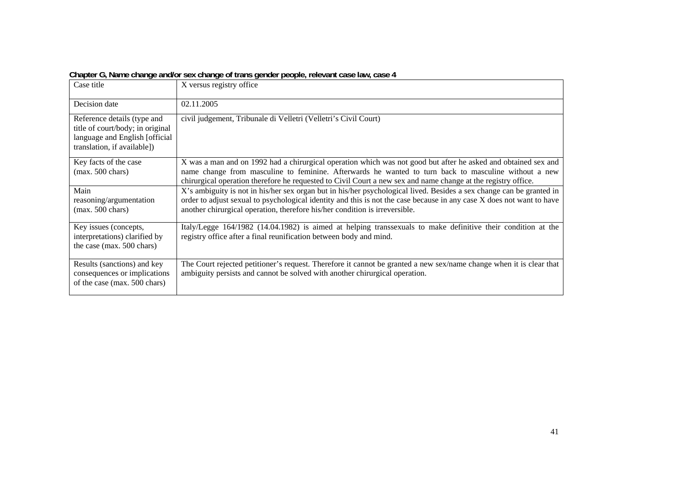|                                                                                                                                  | onapion o $_l$ name onango anaron sok onango or transigonaon pooplo $_l$ rolovant caso law, caso $\pi$                                                                                                                                                                                                                                  |
|----------------------------------------------------------------------------------------------------------------------------------|-----------------------------------------------------------------------------------------------------------------------------------------------------------------------------------------------------------------------------------------------------------------------------------------------------------------------------------------|
| Case title                                                                                                                       | X versus registry office                                                                                                                                                                                                                                                                                                                |
| Decision date                                                                                                                    | 02.11.2005                                                                                                                                                                                                                                                                                                                              |
| Reference details (type and<br>title of court/body; in original<br>language and English [official<br>translation, if available]) | civil judgement, Tribunale di Velletri (Velletri's Civil Court)                                                                                                                                                                                                                                                                         |
| Key facts of the case<br>$(max. 500 \text{ chars})$                                                                              | X was a man and on 1992 had a chirurgical operation which was not good but after he asked and obtained sex and<br>name change from masculine to feminine. Afterwards he wanted to turn back to masculine without a new<br>chirurgical operation therefore he requested to Civil Court a new sex and name change at the registry office. |
| Main<br>reasoning/argumentation<br>$(max. 500 \text{ chars})$                                                                    | X's ambiguity is not in his/her sex organ but in his/her psychological lived. Besides a sex change can be granted in<br>order to adjust sexual to psychological identity and this is not the case because in any case X does not want to have<br>another chirurgical operation, therefore his/her condition is irreversible.            |
| Key issues (concepts,<br>interpretations) clarified by<br>the case (max. 500 chars)                                              | Italy/Legge 164/1982 (14.04.1982) is aimed at helping transsexuals to make definitive their condition at the<br>registry office after a final reunification between body and mind.                                                                                                                                                      |
| Results (sanctions) and key<br>consequences or implications<br>of the case (max. 500 chars)                                      | The Court rejected petitioner's request. Therefore it cannot be granted a new sex/name change when it is clear that<br>ambiguity persists and cannot be solved with another chirurgical operation.                                                                                                                                      |

**Chapter G, Name change and/or sex change of trans gender people, relevant case law, case 4**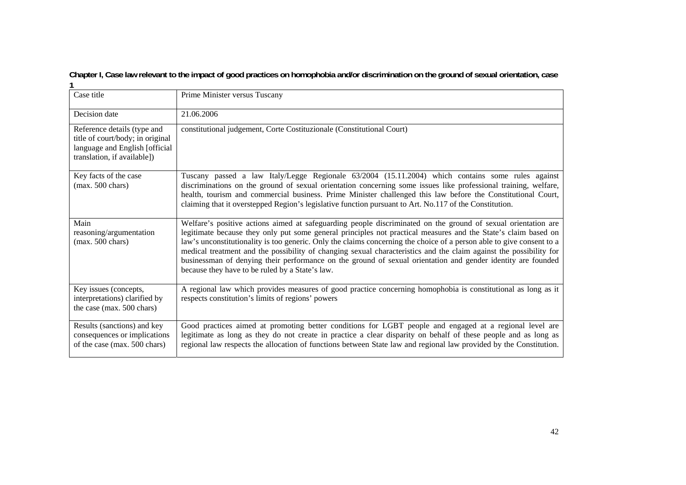**Chapter I, Case law relevant to the impact of good practices on homophobia and/or discrimination on the ground of sexual orientation, case 1** 

| Case title                                                                                                                       | Prime Minister versus Tuscany                                                                                                                                                                                                                                                                                                                                                                                                                                                                                                                                                                                                                     |
|----------------------------------------------------------------------------------------------------------------------------------|---------------------------------------------------------------------------------------------------------------------------------------------------------------------------------------------------------------------------------------------------------------------------------------------------------------------------------------------------------------------------------------------------------------------------------------------------------------------------------------------------------------------------------------------------------------------------------------------------------------------------------------------------|
| Decision date                                                                                                                    | 21.06.2006                                                                                                                                                                                                                                                                                                                                                                                                                                                                                                                                                                                                                                        |
| Reference details (type and<br>title of court/body; in original<br>language and English [official<br>translation, if available]) | constitutional judgement, Corte Costituzionale (Constitutional Court)                                                                                                                                                                                                                                                                                                                                                                                                                                                                                                                                                                             |
| Key facts of the case<br>$(max. 500 \text{ chars})$                                                                              | Tuscany passed a law Italy/Legge Regionale 63/2004 (15.11.2004) which contains some rules against<br>discriminations on the ground of sexual orientation concerning some issues like professional training, welfare,<br>health, tourism and commercial business. Prime Minister challenged this law before the Constitutional Court,<br>claiming that it overstepped Region's legislative function pursuant to Art. No.117 of the Constitution.                                                                                                                                                                                                   |
| Main<br>reasoning/argumentation<br>$(max. 500 \text{ chars})$                                                                    | Welfare's positive actions aimed at safeguarding people discriminated on the ground of sexual orientation are<br>legitimate because they only put some general principles not practical measures and the State's claim based on<br>law's unconstitutionality is too generic. Only the claims concerning the choice of a person able to give consent to a<br>medical treatment and the possibility of changing sexual characteristics and the claim against the possibility for<br>businessman of denying their performance on the ground of sexual orientation and gender identity are founded<br>because they have to be ruled by a State's law. |
| Key issues (concepts,<br>interpretations) clarified by<br>the case (max. 500 chars)                                              | A regional law which provides measures of good practice concerning homophobia is constitutional as long as it<br>respects constitution's limits of regions' powers                                                                                                                                                                                                                                                                                                                                                                                                                                                                                |
| Results (sanctions) and key<br>consequences or implications<br>of the case (max. 500 chars)                                      | Good practices aimed at promoting better conditions for LGBT people and engaged at a regional level are<br>legitimate as long as they do not create in practice a clear disparity on behalf of these people and as long as<br>regional law respects the allocation of functions between State law and regional law provided by the Constitution.                                                                                                                                                                                                                                                                                                  |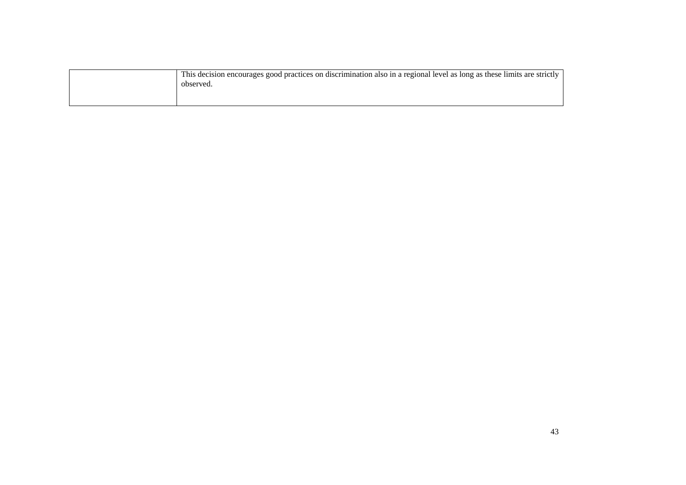| This decision encourages good practices on discrimination also in a regional level as long as these limits are strictly<br>observed. |
|--------------------------------------------------------------------------------------------------------------------------------------|
|                                                                                                                                      |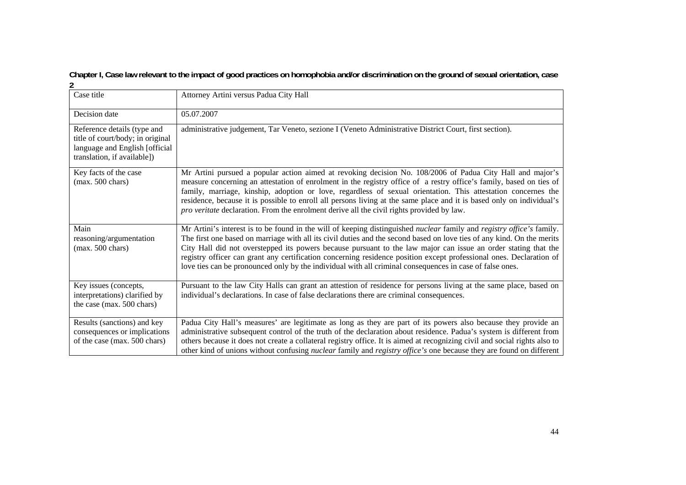#### **Chapter I, Case law relevant to the impact of good practices on homophobia and/or discrimination on the ground of sexual orientation, case 2**

| Case title                                                                                                                       | Attorney Artini versus Padua City Hall                                                                                                                                                                                                                                                                                                                                                                                                                                                                                                                                                                             |
|----------------------------------------------------------------------------------------------------------------------------------|--------------------------------------------------------------------------------------------------------------------------------------------------------------------------------------------------------------------------------------------------------------------------------------------------------------------------------------------------------------------------------------------------------------------------------------------------------------------------------------------------------------------------------------------------------------------------------------------------------------------|
| Decision date                                                                                                                    | 05.07.2007                                                                                                                                                                                                                                                                                                                                                                                                                                                                                                                                                                                                         |
| Reference details (type and<br>title of court/body; in original<br>language and English [official<br>translation, if available]) | administrative judgement, Tar Veneto, sezione I (Veneto Administrative District Court, first section).                                                                                                                                                                                                                                                                                                                                                                                                                                                                                                             |
| Key facts of the case<br>$(max. 500 \text{ chars})$                                                                              | Mr Artini pursued a popular action aimed at revoking decision No. 108/2006 of Padua City Hall and major's<br>measure concerning an attestation of enrolment in the registry office of a restry office's family, based on ties of<br>family, marriage, kinship, adoption or love, regardless of sexual orientation. This attestation concernes the<br>residence, because it is possible to enroll all persons living at the same place and it is based only on individual's<br><i>pro veritate</i> declaration. From the enrolment derive all the civil rights provided by law.                                     |
| Main<br>reasoning/argumentation<br>$(max. 500 \text{ chars})$                                                                    | Mr Artini's interest is to be found in the will of keeping distinguished <i>nuclear</i> family and <i>registry office's</i> family.<br>The first one based on marriage with all its civil duties and the second based on love ties of any kind. On the merits<br>City Hall did not overstepped its powers because pursuant to the law major can issue an order stating that the<br>registry officer can grant any certification concerning residence position except professional ones. Declaration of<br>love ties can be pronounced only by the individual with all criminal consequences in case of false ones. |
| Key issues (concepts,<br>interpretations) clarified by<br>the case (max. 500 chars)                                              | Pursuant to the law City Halls can grant an attestion of residence for persons living at the same place, based on<br>individual's declarations. In case of false declarations there are criminal consequences.                                                                                                                                                                                                                                                                                                                                                                                                     |
| Results (sanctions) and key<br>consequences or implications<br>of the case (max. 500 chars)                                      | Padua City Hall's measures' are legitimate as long as they are part of its powers also because they provide an<br>administrative subsequent control of the truth of the declaration about residence. Padua's system is different from<br>others because it does not create a collateral registry office. It is aimed at recognizing civil and social rights also to<br>other kind of unions without confusing <i>nuclear</i> family and <i>registry office's</i> one because they are found on different                                                                                                           |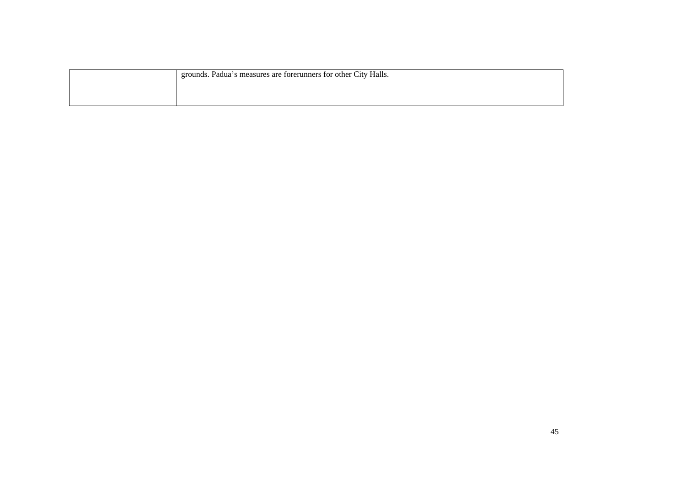| grounds. Padua's measures are forerunners for other City Halls. |
|-----------------------------------------------------------------|
|                                                                 |
|                                                                 |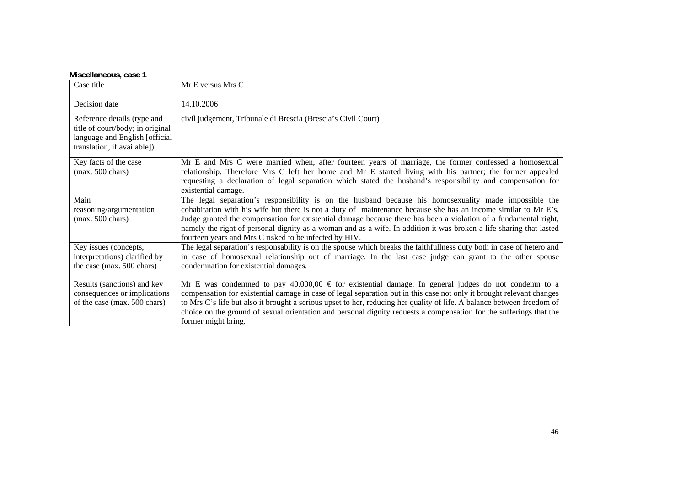| Miscellaneous, case 1 |
|-----------------------|
|-----------------------|

| Case title                                                                                                                       | Mr E versus Mrs C                                                                                                                                                                                                                                                                                                                                                                                                                                                                                                            |
|----------------------------------------------------------------------------------------------------------------------------------|------------------------------------------------------------------------------------------------------------------------------------------------------------------------------------------------------------------------------------------------------------------------------------------------------------------------------------------------------------------------------------------------------------------------------------------------------------------------------------------------------------------------------|
| Decision date                                                                                                                    | 14.10.2006                                                                                                                                                                                                                                                                                                                                                                                                                                                                                                                   |
| Reference details (type and<br>title of court/body; in original<br>language and English [official<br>translation, if available]) | civil judgement, Tribunale di Brescia (Brescia's Civil Court)                                                                                                                                                                                                                                                                                                                                                                                                                                                                |
| Key facts of the case<br>$(max. 500 \text{ chars})$                                                                              | Mr E and Mrs C were married when, after fourteen years of marriage, the former confessed a homosexual<br>relationship. Therefore Mrs C left her home and Mr E started living with his partner; the former appealed<br>requesting a declaration of legal separation which stated the husband's responsibility and compensation for<br>existential damage.                                                                                                                                                                     |
| Main<br>reasoning/argumentation<br>$(max. 500 \text{ chars})$                                                                    | The legal separation's responsibility is on the husband because his homosexuality made impossible the<br>cohabitation with his wife but there is not a duty of maintenance because she has an income similar to Mr E's.<br>Judge granted the compensation for existential damage because there has been a violation of a fundamental right,<br>namely the right of personal dignity as a woman and as a wife. In addition it was broken a life sharing that lasted<br>fourteen years and Mrs C risked to be infected by HIV. |
| Key issues (concepts,<br>interpretations) clarified by<br>the case (max. 500 chars)                                              | The legal separation's responsability is on the spouse which breaks the faithfullness duty both in case of hetero and<br>in case of homosexual relationship out of marriage. In the last case judge can grant to the other spouse<br>condemnation for existential damages.                                                                                                                                                                                                                                                   |
| Results (sanctions) and key<br>consequences or implications<br>of the case (max. 500 chars)                                      | Mr E was condemned to pay 40.000,00 $\in$ for existential damage. In general judges do not condemn to a<br>compensation for existential damage in case of legal separation but in this case not only it brought relevant changes<br>to Mrs C's life but also it brought a serious upset to her, reducing her quality of life. A balance between freedom of<br>choice on the ground of sexual orientation and personal dignity requests a compensation for the sufferings that the<br>former might bring.                     |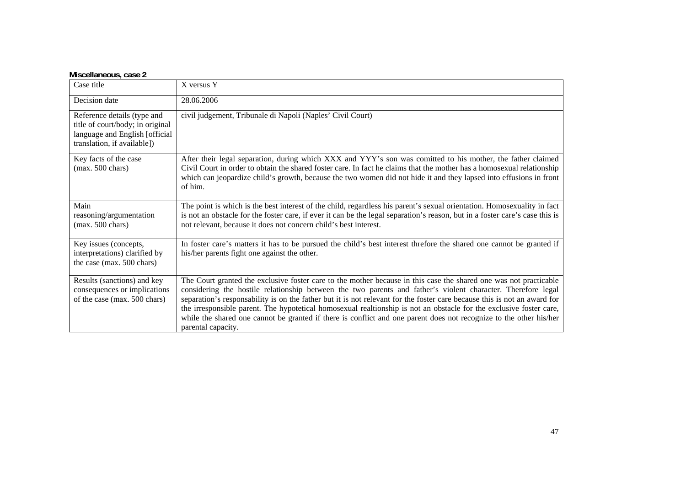#### **Miscellaneous, case 2**

| Case title                                                                                                                       | X versus Y                                                                                                                                                                                                                                                                                                                                                                                                                                                                                                                                                                                                                       |
|----------------------------------------------------------------------------------------------------------------------------------|----------------------------------------------------------------------------------------------------------------------------------------------------------------------------------------------------------------------------------------------------------------------------------------------------------------------------------------------------------------------------------------------------------------------------------------------------------------------------------------------------------------------------------------------------------------------------------------------------------------------------------|
|                                                                                                                                  |                                                                                                                                                                                                                                                                                                                                                                                                                                                                                                                                                                                                                                  |
| Decision date                                                                                                                    | 28.06.2006                                                                                                                                                                                                                                                                                                                                                                                                                                                                                                                                                                                                                       |
| Reference details (type and<br>title of court/body; in original<br>language and English [official<br>translation, if available]) | civil judgement, Tribunale di Napoli (Naples' Civil Court)                                                                                                                                                                                                                                                                                                                                                                                                                                                                                                                                                                       |
| Key facts of the case<br>$(max. 500 \text{ chars})$                                                                              | After their legal separation, during which XXX and YYY's son was comitted to his mother, the father claimed<br>Civil Court in order to obtain the shared foster care. In fact he claims that the mother has a homosexual relationship<br>which can jeopardize child's growth, because the two women did not hide it and they lapsed into effusions in front<br>of him.                                                                                                                                                                                                                                                           |
| Main<br>reasoning/argumentation<br>$(max. 500 \text{ chars})$                                                                    | The point is which is the best interest of the child, regardless his parent's sexual orientation. Homosexuality in fact<br>is not an obstacle for the foster care, if ever it can be the legal separation's reason, but in a foster care's case this is<br>not relevant, because it does not concern child's best interest.                                                                                                                                                                                                                                                                                                      |
| Key issues (concepts,<br>interpretations) clarified by<br>the case (max. 500 chars)                                              | In foster care's matters it has to be pursued the child's best interest threfore the shared one cannot be granted if<br>his/her parents fight one against the other.                                                                                                                                                                                                                                                                                                                                                                                                                                                             |
| Results (sanctions) and key<br>consequences or implications<br>of the case (max. 500 chars)                                      | The Court granted the exclusive foster care to the mother because in this case the shared one was not practicable<br>considering the hostile relationship between the two parents and father's violent character. Therefore legal<br>separation's responsability is on the father but it is not relevant for the foster care because this is not an award for<br>the irresponsible parent. The hypotetical homosexual realtionship is not an obstacle for the exclusive foster care,<br>while the shared one cannot be granted if there is conflict and one parent does not recognize to the other his/her<br>parental capacity. |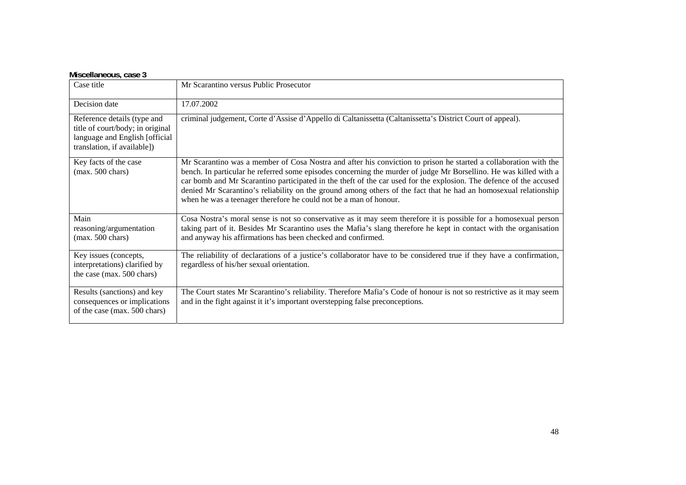| Case title                                                                                                                       | Mr Scarantino versus Public Prosecutor                                                                                                                                                                                                                                                                                                                                                                                                                                                                                                               |
|----------------------------------------------------------------------------------------------------------------------------------|------------------------------------------------------------------------------------------------------------------------------------------------------------------------------------------------------------------------------------------------------------------------------------------------------------------------------------------------------------------------------------------------------------------------------------------------------------------------------------------------------------------------------------------------------|
| Decision date                                                                                                                    | 17.07.2002                                                                                                                                                                                                                                                                                                                                                                                                                                                                                                                                           |
| Reference details (type and<br>title of court/body; in original<br>language and English [official<br>translation, if available]) | criminal judgement, Corte d'Assise d'Appello di Caltanissetta (Caltanissetta's District Court of appeal).                                                                                                                                                                                                                                                                                                                                                                                                                                            |
| Key facts of the case<br>$(max. 500 \text{ chars})$                                                                              | Mr Scarantino was a member of Cosa Nostra and after his conviction to prison he started a collaboration with the<br>bench. In particular he referred some episodes concerning the murder of judge Mr Borsellino. He was killed with a<br>car bomb and Mr Scarantino participated in the theft of the car used for the explosion. The defence of the accused<br>denied Mr Scarantino's reliability on the ground among others of the fact that he had an homosexual relationship<br>when he was a teenager therefore he could not be a man of honour. |
| Main<br>reasoning/argumentation<br>$(max. 500 \text{ chars})$                                                                    | Cosa Nostra's moral sense is not so conservative as it may seem therefore it is possible for a homosexual person<br>taking part of it. Besides Mr Scarantino uses the Mafia's slang therefore he kept in contact with the organisation<br>and anyway his affirmations has been checked and confirmed.                                                                                                                                                                                                                                                |
| Key issues (concepts,<br>interpretations) clarified by<br>the case (max. 500 chars)                                              | The reliability of declarations of a justice's collaborator have to be considered true if they have a confirmation,<br>regardless of his/her sexual orientation.                                                                                                                                                                                                                                                                                                                                                                                     |
| Results (sanctions) and key<br>consequences or implications<br>of the case (max. 500 chars)                                      | The Court states Mr Scarantino's reliability. Therefore Mafia's Code of honour is not so restrictive as it may seem<br>and in the fight against it it's important overstepping false preconceptions.                                                                                                                                                                                                                                                                                                                                                 |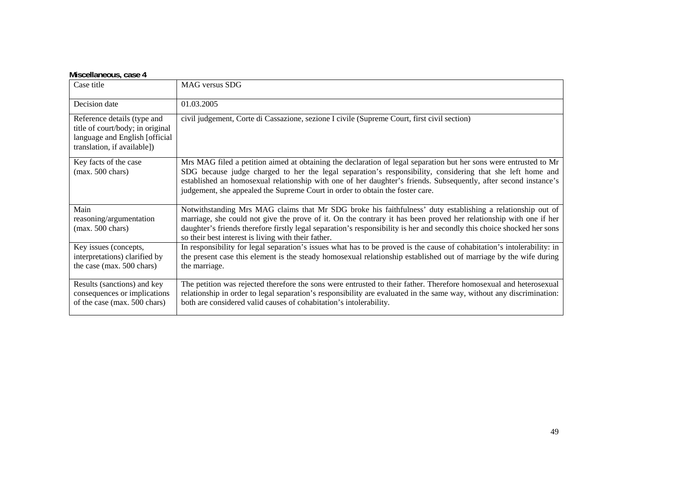#### **Miscellaneous, case 4**

| Case title                                                                                                                       | MAG versus SDG                                                                                                                                                                                                                                                                                                                                                                                                                       |
|----------------------------------------------------------------------------------------------------------------------------------|--------------------------------------------------------------------------------------------------------------------------------------------------------------------------------------------------------------------------------------------------------------------------------------------------------------------------------------------------------------------------------------------------------------------------------------|
| Decision date                                                                                                                    | 01.03.2005                                                                                                                                                                                                                                                                                                                                                                                                                           |
| Reference details (type and<br>title of court/body; in original<br>language and English [official<br>translation, if available]) | civil judgement, Corte di Cassazione, sezione I civile (Supreme Court, first civil section)                                                                                                                                                                                                                                                                                                                                          |
| Key facts of the case<br>$(max. 500 \text{ chars})$                                                                              | Mrs MAG filed a petition aimed at obtaining the declaration of legal separation but her sons were entrusted to Mr<br>SDG because judge charged to her the legal separation's responsibility, considering that she left home and<br>established an homosexual relationship with one of her daughter's friends. Subsequently, after second instance's<br>judgement, she appealed the Supreme Court in order to obtain the foster care. |
| Main<br>reasoning/argumentation<br>$(max. 500 \text{ chars})$                                                                    | Notwithstanding Mrs MAG claims that Mr SDG broke his faithfulness' duty establishing a relationship out of<br>marriage, she could not give the prove of it. On the contrary it has been proved her relationship with one if her<br>daughter's friends therefore firstly legal separation's responsibility is her and secondly this choice shocked her sons<br>so their best interest is living with their father.                    |
| Key issues (concepts,<br>interpretations) clarified by<br>the case (max. 500 chars)                                              | In responsibility for legal separation's issues what has to be proved is the cause of cohabitation's intolerability: in<br>the present case this element is the steady homosexual relationship established out of marriage by the wife during<br>the marriage.                                                                                                                                                                       |
| Results (sanctions) and key<br>consequences or implications<br>of the case (max. 500 chars)                                      | The petition was rejected therefore the sons were entrusted to their father. Therefore homosexual and heterosexual<br>relationship in order to legal separation's responsibility are evaluated in the same way, without any discrimination:<br>both are considered valid causes of cohabitation's intolerability.                                                                                                                    |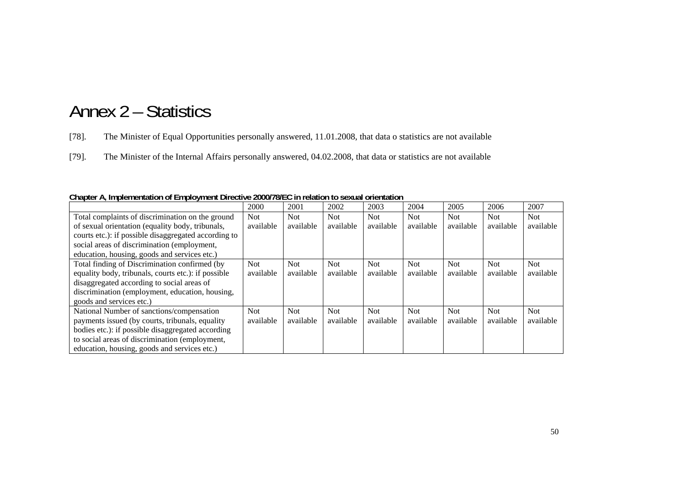# Annex 2 – Statistics

[78]. The Minister of Equal Opportunities personally answered, 11.01.2008, that data o statistics are not available

[79]. The Minister of the Internal Affairs personally answered, 04.02.2008, that data or statistics are not available

|                                                      | 2000       | 2001       | 2002       | 2003       | 2004      | 2005       | 2006      | 2007       |
|------------------------------------------------------|------------|------------|------------|------------|-----------|------------|-----------|------------|
| Total complaints of discrimination on the ground     | <b>Not</b> | Not.       | Not        | <b>Not</b> | Not.      | Not        | Not       | <b>Not</b> |
| of sexual orientation (equality body, tribunals,     | available  | available  | available  | available  | available | available  | available | available  |
| courts etc.): if possible disaggregated according to |            |            |            |            |           |            |           |            |
| social areas of discrimination (employment,          |            |            |            |            |           |            |           |            |
| education, housing, goods and services etc.)         |            |            |            |            |           |            |           |            |
| Total finding of Discrimination confirmed (by        | <b>Not</b> | <b>Not</b> | <b>Not</b> | <b>Not</b> | Not.      | <b>Not</b> | Not.      | <b>Not</b> |
| equality body, tribunals, courts etc.): if possible  | available  | available  | available  | available  | available | available  | available | available  |
| disaggregated according to social areas of           |            |            |            |            |           |            |           |            |
| discrimination (employment, education, housing,      |            |            |            |            |           |            |           |            |
| goods and services etc.)                             |            |            |            |            |           |            |           |            |
| National Number of sanctions/compensation            | <b>Not</b> | <b>Not</b> | <b>Not</b> | <b>Not</b> | Not       | <b>Not</b> | Not.      | <b>Not</b> |
| payments issued (by courts, tribunals, equality      | available  | available  | available  | available  | available | available  | available | available  |
| bodies etc.): if possible disaggregated according    |            |            |            |            |           |            |           |            |
| to social areas of discrimination (employment,       |            |            |            |            |           |            |           |            |
| education, housing, goods and services etc.)         |            |            |            |            |           |            |           |            |

**Chapter A, Implementation of Employment Directive 2000/78/EC in relation to sexual orientation**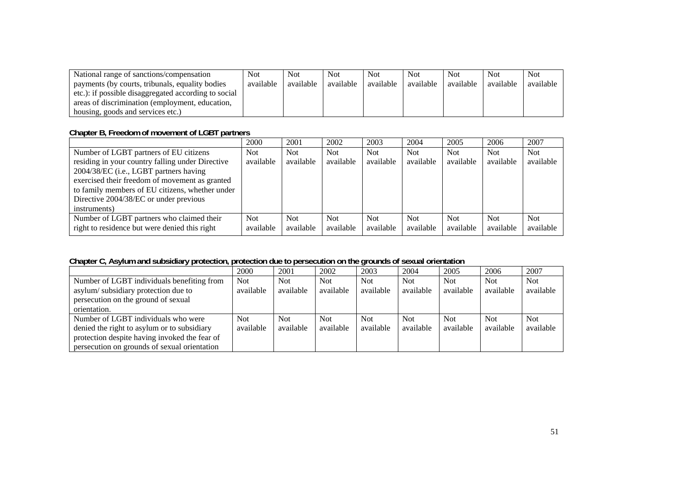| National range of sanctions/compensation             | Not.      | <b>Not</b> | Not       | <b>Not</b> | <b>Not</b> | <b>Not</b> | <b>Not</b> | <b>Not</b> |
|------------------------------------------------------|-----------|------------|-----------|------------|------------|------------|------------|------------|
| payments (by courts, tribunals, equality bodies      | available | available  | available | available  | available  | available  | available  | available  |
| etc.): if possible disaggregated according to social |           |            |           |            |            |            |            |            |
| areas of discrimination (employment, education,      |           |            |           |            |            |            |            |            |
| housing, goods and services etc.)                    |           |            |           |            |            |            |            |            |

### **Chapter B, Freedom of movement of LGBT partners**

|                                                  | 2000      | 2001       | 2002      | 2003       | 2004       | 2005       | 2006       | 2007       |
|--------------------------------------------------|-----------|------------|-----------|------------|------------|------------|------------|------------|
| Number of LGBT partners of EU citizens           | Not.      | <b>Not</b> | Not.      | Not.       | <b>Not</b> | <b>Not</b> | <b>Not</b> | <b>Not</b> |
| residing in your country falling under Directive | available | available  | available | available  | available  | available  | available  | available  |
| 2004/38/EC (i.e., LGBT partners having           |           |            |           |            |            |            |            |            |
| exercised their freedom of movement as granted   |           |            |           |            |            |            |            |            |
| to family members of EU citizens, whether under  |           |            |           |            |            |            |            |            |
| Directive 2004/38/EC or under previous           |           |            |           |            |            |            |            |            |
| instruments)                                     |           |            |           |            |            |            |            |            |
| Number of LGBT partners who claimed their        | Not:      | Not.       | Not.      | <b>Not</b> | <b>Not</b> | <b>Not</b> | <b>Not</b> | <b>Not</b> |
| right to residence but were denied this right    | available | available  | available | available  | available  | available  | available  | available  |

### **Chapter C, Asylum and subsidiary protection, protection due to persecution on the grounds of sexual orientation**

|                                               | 2000       | 2001       | 2002       | 2003      | 2004       | 2005       | 2006       | 2007       |
|-----------------------------------------------|------------|------------|------------|-----------|------------|------------|------------|------------|
| Number of LGBT individuals benefiting from    | <b>Not</b> | <b>Not</b> | <b>Not</b> | Not.      | <b>Not</b> | Not.       | <b>Not</b> | <b>Not</b> |
| asylum/subsidiary protection due to           | available  | available  | available  | available | available  | available  | available  | available  |
| persecution on the ground of sexual           |            |            |            |           |            |            |            |            |
| orientation.                                  |            |            |            |           |            |            |            |            |
| Number of LGBT individuals who were           | <b>Not</b> | <b>Not</b> | <b>Not</b> | Not.      | <b>Not</b> | <b>Not</b> | <b>Not</b> | <b>Not</b> |
| denied the right to asylum or to subsidiary   | available  | available  | available  | available | available  | available  | available  | available  |
| protection despite having invoked the fear of |            |            |            |           |            |            |            |            |
| persecution on grounds of sexual orientation  |            |            |            |           |            |            |            |            |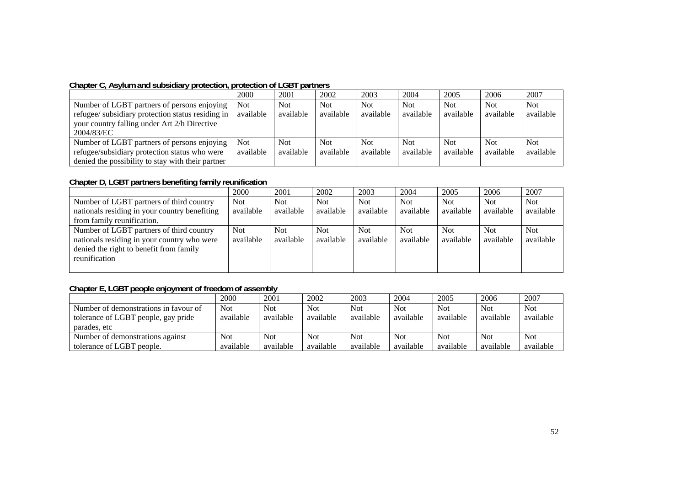#### **Chapter C, Asylum and subsidiary protection, protection of LGBT partners**

|                                                                                                                                                                | 2000                    | 2001                    | 2002                    | 2003                    | 2004                    | 2005                    | 2006                    | 2007                    |
|----------------------------------------------------------------------------------------------------------------------------------------------------------------|-------------------------|-------------------------|-------------------------|-------------------------|-------------------------|-------------------------|-------------------------|-------------------------|
| Number of LGBT partners of persons enjoying<br>refugee/ subsidiary protection status residing in<br>your country falling under Art 2/h Directive<br>2004/83/EC | <b>Not</b><br>available | <b>Not</b><br>available | <b>Not</b><br>available | <b>Not</b><br>available | Not<br>available        | <b>Not</b><br>available | <b>Not</b><br>available | <b>Not</b><br>available |
| Number of LGBT partners of persons enjoying<br>refugee/subsidiary protection status who were<br>denied the possibility to stay with their partner              | <b>Not</b><br>available | <b>Not</b><br>available | <b>Not</b><br>available | <b>Not</b><br>available | <b>Not</b><br>available | <b>Not</b><br>available | <b>Not</b><br>available | <b>Not</b><br>available |

### **Chapter D, LGBT partners benefiting family reunification**

|                                                                                                                                                     | 2000               | 2001                    | 2002                    | 2003              | 2004                    | 2005              | 2006              | 2007                    |
|-----------------------------------------------------------------------------------------------------------------------------------------------------|--------------------|-------------------------|-------------------------|-------------------|-------------------------|-------------------|-------------------|-------------------------|
| Number of LGBT partners of third country                                                                                                            | Not                | <b>Not</b>              | <b>Not</b>              | <b>Not</b>        | <b>Not</b>              | Not.              | Not               | <b>Not</b>              |
| nationals residing in your country benefiting                                                                                                       | available          | available               | available               | available         | available               | available         | available         | available               |
| from family reunification.                                                                                                                          |                    |                         |                         |                   |                         |                   |                   |                         |
| Number of LGBT partners of third country<br>nationals residing in your country who were<br>denied the right to benefit from family<br>reunification | Not  <br>available | <b>Not</b><br>available | <b>Not</b><br>available | Not.<br>available | <b>Not</b><br>available | Not.<br>available | Not.<br>available | <b>Not</b><br>available |

### **Chapter E, LGBT people enjoyment of freedom of assembly**

|                                       | 2000       | 2001       | 2002       | 2003       | 2004       | 2005       | 2006       | 2007       |
|---------------------------------------|------------|------------|------------|------------|------------|------------|------------|------------|
| Number of demonstrations in favour of | <b>Not</b> | <b>Not</b> | <b>Not</b> | <b>Not</b> | <b>Not</b> | <b>Not</b> | <b>Not</b> | <b>Not</b> |
| tolerance of LGBT people, gay pride   | available  | available  | available  | available  | available  | available  | available  | available  |
| parades, etc                          |            |            |            |            |            |            |            |            |
| Number of demonstrations against      | <b>Not</b> | <b>Not</b> | <b>Not</b> | <b>Not</b> | <b>Not</b> | <b>Not</b> | <b>Not</b> | Not        |
| tolerance of LGBT people.             | available  | available  | available  | available  | available  | available  | available  | available  |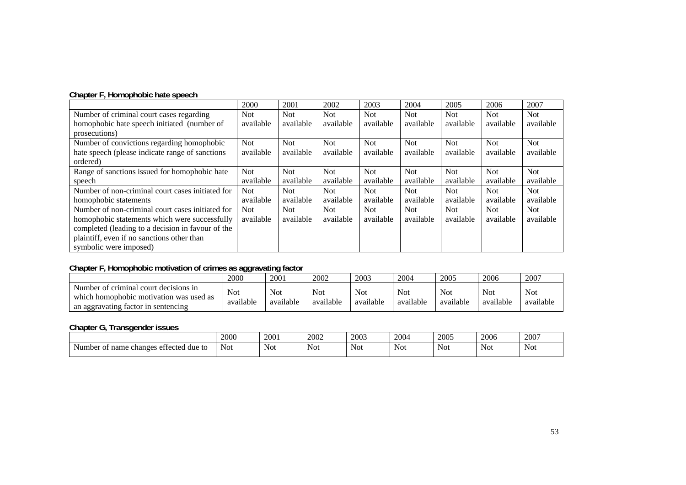|                                                   | 2000       | 2001       | 2002       | 2003       | 2004       | 2005       | 2006       | 2007       |
|---------------------------------------------------|------------|------------|------------|------------|------------|------------|------------|------------|
| Number of criminal court cases regarding          | <b>Not</b> | <b>Not</b> | Not.       | Not.       | Not.       | Not.       | <b>Not</b> | <b>Not</b> |
| homophobic hate speech initiated (number of       | available  | available  | available  | available  | available  | available  | available  | available  |
| prosecutions)                                     |            |            |            |            |            |            |            |            |
| Number of convictions regarding homophobic        | <b>Not</b> | Not.       | <b>Not</b> | Not.       | <b>Not</b> | <b>Not</b> | <b>Not</b> | <b>Not</b> |
| hate speech (please indicate range of sanctions   | available  | available  | available  | available  | available  | available  | available  | available  |
| ordered)                                          |            |            |            |            |            |            |            |            |
| Range of sanctions issued for homophobic hate     | <b>Not</b> | Not.       | <b>Not</b> | <b>Not</b> | Not.       | Not.       | <b>Not</b> | <b>Not</b> |
| speech                                            | available  | available  | available  | available  | available  | available  | available  | available  |
| Number of non-criminal court cases initiated for  | <b>Not</b> | <b>Not</b> | Not.       | Not.       | Not.       | <b>Not</b> | <b>Not</b> | <b>Not</b> |
| homophobic statements                             | available  | available  | available  | available  | available  | available  | available  | available  |
| Number of non-criminal court cases initiated for  | <b>Not</b> | <b>Not</b> | <b>Not</b> | <b>Not</b> | <b>Not</b> | <b>Not</b> | <b>Not</b> | <b>Not</b> |
| homophobic statements which were successfully     | available  | available  | available  | available  | available  | available  | available  | available  |
| completed (leading to a decision in favour of the |            |            |            |            |            |            |            |            |
| plaintiff, even if no sanctions other than        |            |            |            |            |            |            |            |            |
| symbolic were imposed)                            |            |            |            |            |            |            |            |            |

### **Chapter F, Homophobic motivation of crimes as aggravating factor**

|                                                                                                                         | 2000                    | 2001                    | 2002             | 2003             | 2004                    | 2005                    | 2006                    | 2007                    |
|-------------------------------------------------------------------------------------------------------------------------|-------------------------|-------------------------|------------------|------------------|-------------------------|-------------------------|-------------------------|-------------------------|
| Number of criminal court decisions in<br>which homophobic motivation was used as<br>an aggravating factor in sentencing | <b>Not</b><br>available | <b>Not</b><br>available | Not<br>available | Not<br>available | <b>Not</b><br>available | <b>Not</b><br>available | <b>Not</b><br>available | <b>Not</b><br>available |

#### **Chapter G, Transgender issues**

|                                                                            | 2000       | 2001 | 2002       | 2003       | 2004       | 2005       | 2006 | 2007 |
|----------------------------------------------------------------------------|------------|------|------------|------------|------------|------------|------|------|
| $\sim$<br>ettected<br><sup>-</sup> name<br>Number of<br>echanges<br>due to | <b>Not</b> | Not  | <b>Not</b> | <b>Not</b> | <b>Not</b> | <b>Not</b> | Not  | Not  |